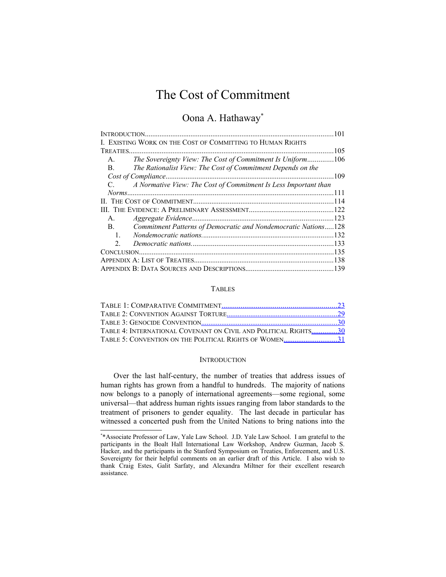# The Cost of Commitment

# Oona A. Hathaway[\\*](#page-0-1)

| INTRODUCTION.                                                                    | 101  |
|----------------------------------------------------------------------------------|------|
| I. EXISTING WORK ON THE COST OF COMMITTING TO HUMAN RIGHTS                       |      |
| TREATIES.                                                                        | 105  |
| The Sovereignty View: The Cost of Commitment Is Uniform106<br>A.                 |      |
| The Rationalist View: The Cost of Commitment Depends on the<br>$B_{-}$           |      |
| Cost of Compliance                                                               | .109 |
| A Normative View: The Cost of Commitment Is Less Important than<br>$C_{\cdot}$ . |      |
|                                                                                  |      |
|                                                                                  |      |
|                                                                                  |      |
| $A_{1}$                                                                          |      |
| Commitment Patterns of Democratic and Nondemocratic Nations128<br>$\mathbf{B}$ . |      |
| $\mathbf{1}$ .                                                                   |      |
| $\overline{2}$                                                                   |      |
| CONCLUSION                                                                       |      |
|                                                                                  |      |
|                                                                                  |      |

# <span id="page-0-0"></span>TABLES

| TABLE 4: INTERNATIONAL COVENANT ON CIVIL AND POLITICAL RIGHTS30 |  |
|-----------------------------------------------------------------|--|
| TABLE 5: CONVENTION ON THE POLITICAL RIGHTS OF WOMEN31          |  |

#### **INTRODUCTION**

Over the last half-century, the number of treaties that address issues of human rights has grown from a handful to hundreds. The majority of nations now belongs to a panoply of international agreements—some regional, some universal—that address human rights issues ranging from labor standards to the treatment of prisoners to gender equality. The last decade in particular has witnessed a concerted push from the United Nations to bring nations into the

<span id="page-0-1"></span><sup>\*</sup> \*Associate Professor of Law, Yale Law School. J.D. Yale Law School. I am grateful to the participants in the Boalt Hall International Law Workshop, Andrew Guzman, Jacob S. Hacker, and the participants in the Stanford Symposium on Treaties, Enforcement, and U.S. Sovereignty for their helpful comments on an earlier draft of this Article. I also wish to thank Craig Estes, Galit Sarfaty, and Alexandra Miltner for their excellent research assistance.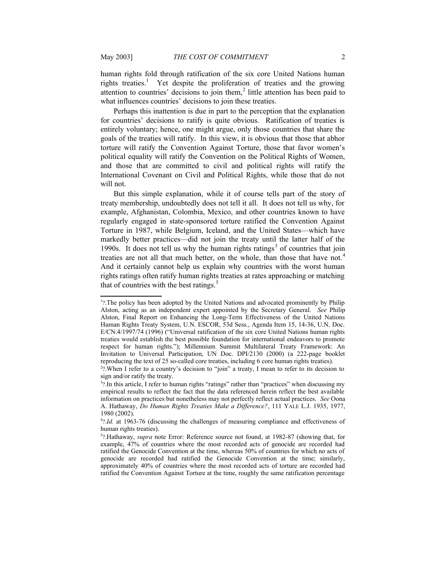human rights fold through ratification of the six core United Nations human rights treaties.<sup>[1](#page-1-1)</sup> Yet despite the proliferation of treaties and the growing attention to countries' decisions to join them, $<sup>2</sup>$  $<sup>2</sup>$  $<sup>2</sup>$  little attention has been paid to</sup> what influences countries' decisions to join these treaties.

Perhaps this inattention is due in part to the perception that the explanation for countries' decisions to ratify is quite obvious. Ratification of treaties is entirely voluntary; hence, one might argue, only those countries that share the goals of the treaties will ratify. In this view, it is obvious that those that abhor torture will ratify the Convention Against Torture, those that favor women's political equality will ratify the Convention on the Political Rights of Women, and those that are committed to civil and political rights will ratify the International Covenant on Civil and Political Rights, while those that do not will not.

But this simple explanation, while it of course tells part of the story of treaty membership, undoubtedly does not tell it all. It does not tell us why, for example, Afghanistan, Colombia, Mexico, and other countries known to have regularly engaged in state-sponsored torture ratified the Convention Against Torture in 1987, while Belgium, Iceland, and the United States—which have markedly better practices—did not join the treaty until the latter half of the 1990s. It does not tell us why the human rights ratings<sup>[3](#page-1-3)</sup> of countries that join treaties are not all that much better, on the whole, than those that have not.<sup>[4](#page-1-4)</sup> And it certainly cannot help us explain why countries with the worst human rights ratings often ratify human rights treaties at rates approaching or matching that of countries with the best ratings. $<sup>5</sup>$  $<sup>5</sup>$  $<sup>5</sup>$ </sup>

<span id="page-1-1"></span><sup>&</sup>lt;sup>1</sup>?.The policy has been adopted by the United Nations and advocated prominently by Philip Alston, acting as an independent expert appointed by the Secretary General. *See* Philip Alston, Final Report on Enhancing the Long-Term Effectiveness of the United Nations Human Rights Treaty System, U.N. ESCOR, 53d Sess., Agenda Item 15, 14-36, U.N. Doc. E/CN.4/1997/74 (1996) ("Universal ratification of the six core United Nations human rights treaties would establish the best possible foundation for international endeavors to promote respect for human rights."); Millennium Summit Multilateral Treaty Framework: An Invitation to Universal Participation, UN Doc. DPI/2130 (2000) (a 222-page booklet reproducing the text of 25 so-called core treaties, including 6 core human rights treaties).

<span id="page-1-2"></span><sup>&</sup>lt;sup>2</sup>?.When I refer to a country's decision to "join" a treaty, I mean to refer to its decision to sign and/or ratify the treaty.

<span id="page-1-3"></span><sup>&</sup>lt;sup>3</sup>?.In this article, I refer to human rights "ratings" rather than "practices" when discussing my empirical results to reflect the fact that the data referenced herein reflect the best available information on practices but nonetheless may not perfectly reflect actual practices. *See* Oona A. Hathaway, *Do Human Rights Treaties Make a Difference?*, 111 YALE L.J. 1935, 1977, 1980 (2002).

<span id="page-1-4"></span><sup>&</sup>lt;sup>4</sup>?.*Id.* at 1963-76 (discussing the challenges of measuring compliance and effectiveness of human rights treaties).

<span id="page-1-5"></span><span id="page-1-0"></span><sup>5</sup> ?.Hathaway, *supra* note [Error: Reference source not found,](#page-1-0) at 1982-87 (showing that, for example, 47% of countries where the most recorded acts of genocide are recorded had ratified the Genocide Convention at the time, whereas 50% of countries for which no acts of genocide are recorded had ratified the Genocide Convention at the time; similarly, approximately 40% of countries where the most recorded acts of torture are recorded had ratified the Convention Against Torture at the time, roughly the same ratification percentage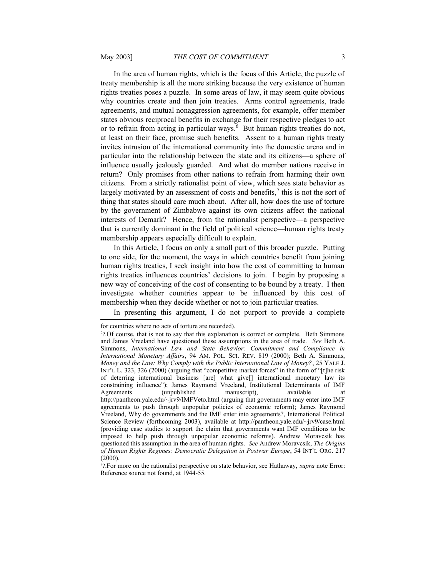In the area of human rights, which is the focus of this Article, the puzzle of treaty membership is all the more striking because the very existence of human rights treaties poses a puzzle. In some areas of law, it may seem quite obvious why countries create and then join treaties. Arms control agreements, trade agreements, and mutual nonaggression agreements, for example, offer member states obvious reciprocal benefits in exchange for their respective pledges to act or to refrain from acting in particular ways. $6$  But human rights treaties do not, at least on their face, promise such benefits. Assent to a human rights treaty invites intrusion of the international community into the domestic arena and in particular into the relationship between the state and its citizens—a sphere of influence usually jealously guarded. And what do member nations receive in return? Only promises from other nations to refrain from harming their own citizens. From a strictly rationalist point of view, which sees state behavior as largely motivated by an assessment of costs and benefits, $\alpha$  this is not the sort of thing that states should care much about. After all, how does the use of torture by the government of Zimbabwe against its own citizens affect the national interests of Demark? Hence, from the rationalist perspective—a perspective that is currently dominant in the field of political science—human rights treaty membership appears especially difficult to explain.

In this Article, I focus on only a small part of this broader puzzle. Putting to one side, for the moment, the ways in which countries benefit from joining human rights treaties, I seek insight into how the cost of committing to human rights treaties influences countries' decisions to join. I begin by proposing a new way of conceiving of the cost of consenting to be bound by a treaty. I then investigate whether countries appear to be influenced by this cost of membership when they decide whether or not to join particular treaties.

In presenting this argument, I do not purport to provide a complete

for countries where no acts of torture are recorded).

<span id="page-2-1"></span><sup>&</sup>lt;sup>6</sup>?.Of course, that is not to say that this explanation is correct or complete. Beth Simmons and James Vreeland have questioned these assumptions in the area of trade. *See* Beth A. Simmons, *International Law and State Behavior: Commitment and Compliance in International Monetary Affairs*, 94 AM. POL. SCI. REV. 819 (2000); Beth A. Simmons, *Money and the Law: Why Comply with the Public International Law of Money?*, 25 YALE J. INT'L L. 323, 326 (2000) (arguing that "competitive market forces" in the form of "[t]he risk of deterring international business [are] what give[] international monetary law its constraining influence"); James Raymond Vreeland, Institutional Determinants of IMF Agreements (unpublished manuscript), available at http://pantheon.yale.edu/~jrv9/IMFVeto.html (arguing that governments may enter into IMF agreements to push through unpopular policies of economic reform); James Raymond Vreeland, Why do governments and the IMF enter into agreements?, International Political Science Review (forthcoming 2003), available at http://pantheon.yale.edu/~jrv9/case.html (providing case studies to support the claim that governments want IMF conditions to be imposed to help push through unpopular economic reforms). Andrew Moravcsik has questioned this assumption in the area of human rights. *See* Andrew Moravcsik, *The Origins of Human Rights Regimes: Democratic Delegation in Postwar Europe*, 54 INT'L ORG. 217 (2000).

<span id="page-2-2"></span><span id="page-2-0"></span><sup>7</sup> ?.For more on the rationalist perspective on state behavior, see Hathaway, *supra* note [Error:](#page-2-0) [Reference source not found](#page-2-0), at 1944-55.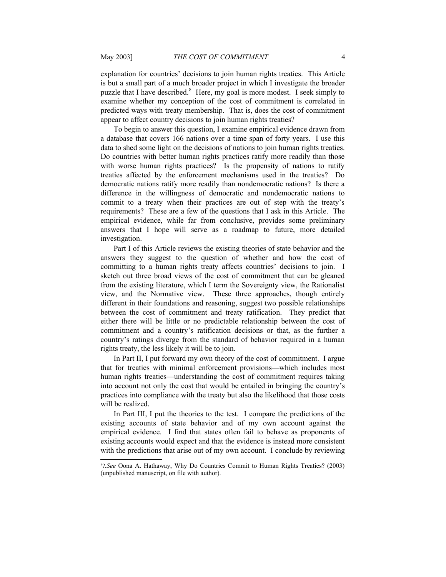explanation for countries' decisions to join human rights treaties. This Article is but a small part of a much broader project in which I investigate the broader puzzle that I have described. $8$  Here, my goal is more modest. I seek simply to examine whether my conception of the cost of commitment is correlated in predicted ways with treaty membership. That is, does the cost of commitment appear to affect country decisions to join human rights treaties?

To begin to answer this question, I examine empirical evidence drawn from a database that covers 166 nations over a time span of forty years. I use this data to shed some light on the decisions of nations to join human rights treaties. Do countries with better human rights practices ratify more readily than those with worse human rights practices? Is the propensity of nations to ratify treaties affected by the enforcement mechanisms used in the treaties? Do democratic nations ratify more readily than nondemocratic nations? Is there a difference in the willingness of democratic and nondemocratic nations to commit to a treaty when their practices are out of step with the treaty's requirements? These are a few of the questions that I ask in this Article. The empirical evidence, while far from conclusive, provides some preliminary answers that I hope will serve as a roadmap to future, more detailed investigation.

Part I of this Article reviews the existing theories of state behavior and the answers they suggest to the question of whether and how the cost of committing to a human rights treaty affects countries' decisions to join. I sketch out three broad views of the cost of commitment that can be gleaned from the existing literature, which I term the Sovereignty view, the Rationalist view, and the Normative view. These three approaches, though entirely different in their foundations and reasoning, suggest two possible relationships between the cost of commitment and treaty ratification. They predict that either there will be little or no predictable relationship between the cost of commitment and a country's ratification decisions or that, as the further a country's ratings diverge from the standard of behavior required in a human rights treaty, the less likely it will be to join.

In Part II, I put forward my own theory of the cost of commitment. I argue that for treaties with minimal enforcement provisions—which includes most human rights treaties—understanding the cost of commitment requires taking into account not only the cost that would be entailed in bringing the country's practices into compliance with the treaty but also the likelihood that those costs will be realized.

In Part III, I put the theories to the test. I compare the predictions of the existing accounts of state behavior and of my own account against the empirical evidence. I find that states often fail to behave as proponents of existing accounts would expect and that the evidence is instead more consistent with the predictions that arise out of my own account. I conclude by reviewing

<span id="page-3-0"></span><sup>8</sup> ?*.See* Oona A. Hathaway, Why Do Countries Commit to Human Rights Treaties? (2003) (unpublished manuscript, on file with author).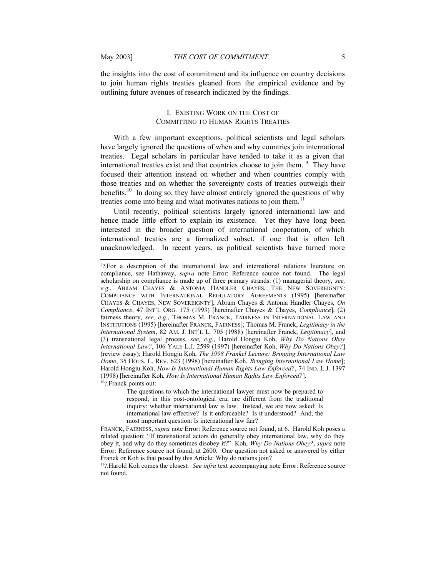the insights into the cost of commitment and its influence on country decisions to join human rights treaties gleaned from the empirical evidence and by outlining future avenues of research indicated by the findings.

# <span id="page-4-0"></span>I. EXISTING WORK ON THE COST OF COMMITTING TO HUMAN RIGHTS TREATIES

With a few important exceptions, political scientists and legal scholars have largely ignored the questions of when and why countries join international treaties. Legal scholars in particular have tended to take it as a given that international treaties exist and that countries choose to join them.  $9$  They have focused their attention instead on whether and when countries comply with those treaties and on whether the sovereignty costs of treaties outweigh their benefits.<sup>[10](#page-4-6)</sup> In doing so, they have almost entirely ignored the questions of why treaties come into being and what motivates nations to join them.<sup>[11](#page-4-7)</sup>

Until recently, political scientists largely ignored international law and hence made little effort to explain its existence. Yet they have long been interested in the broader question of international cooperation, of which international treaties are a formalized subset, if one that is often left unacknowledged. In recent years, as political scientists have turned more

<span id="page-4-5"></span><span id="page-4-4"></span><sup>&</sup>lt;sup>9</sup>?.For a description of the international law and international relations literature on compliance, see Hathaway, *supra* note [Error: Reference source not found.](#page-4-4) The legal scholarship on compliance is made up of three primary strands: (1) managerial theory, *see, e.g.*, ABRAM CHAYES & ANTONIA HANDLER CHAYES, THE NEW SOVEREIGNTY: COMPLIANCE WITH INTERNATIONAL REGULATORY AGREEMENTS (1995) [hereinafter CHAYES & CHAYES, NEW SOVEREIGNTY]; Abram Chayes & Antonia Handler Chayes, *On Compliance*, 47 INT'L ORG. 175 (1993) [hereinafter Chayes & Chayes, *Compliance*], (2) fairness theory, see, e.g., THOMAS M. FRANCK, FAIRNESS IN INTERNATIONAL LAW AND INSTITUTIONS (1995) [hereinafter FRANCK, FAIRNESS]; Thomas M. Franck, *Legitimacy in the International System*, 82 AM. J. INT'L L. 705 (1988) [hereinafter Franck, *Legitimacy*], and (3) transnational legal process, *see, e.g.*, Harold Hongju Koh, *Why Do Nations Obey International Law?*, 106 YALE L.J. 2599 (1997) [hereinafter Koh, *Why Do Nations Obey?*] (review essay); Harold Hongju Koh, *The 1998 Frankel Lecture: Bringing International Law Home*, 35 HOUS. L. REV. 623 (1998) [hereinafter Koh, *Bringing International Law Home*]; Harold Hongju Koh, *How Is International Human Rights Law Enforced?*, 74 IND. L.J. 1397 (1998) [hereinafter Koh, *How Is International Human Rights Law Enforced?*]. <sup>10</sup>?.Franck points out:

<span id="page-4-6"></span><span id="page-4-3"></span><span id="page-4-2"></span>The questions to which the international lawyer must now be prepared to respond, in this post-ontological era, are different from the traditional inquiry: whether international law is law. Instead, we are now asked: Is international law effective? Is it enforceable? Is it understood? And, the most important question: Is international law fair?

FRANCK, FAIRNESS, *supra* note [Error: Reference source not found](#page-4-3), at 6. Harold Koh poses a related question: "If transnational actors do generally obey international law, why do they obey it, and why do they sometimes disobey it?" Koh, *Why Do Nations Obey?*, *supra* note [Error: Reference source not found](#page-4-2), at 2600. One question not asked or answered by either Franck or Koh is that posed by this Article: Why do nations join?

<span id="page-4-7"></span><span id="page-4-1"></span><sup>11</sup>?.Harold Koh comes the closest. *See infra* text accompanying note [Error: Reference source](#page-4-1) [not found.](#page-4-1)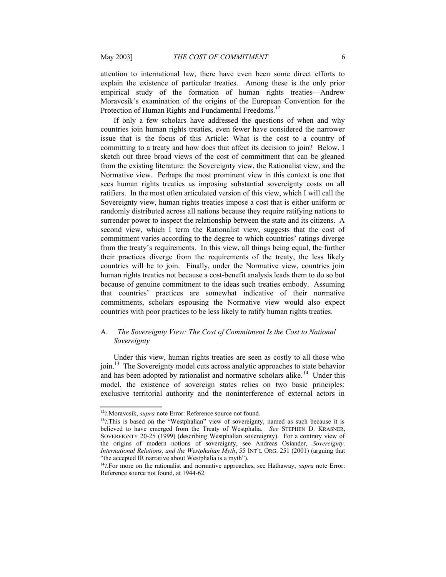attention to international law, there have even been some direct efforts to explain the existence of particular treaties. Among these is the only prior empirical study of the formation of human rights treaties—Andrew Moravcsik's examination of the origins of the European Convention for the Protection of Human Rights and Fundamental Freedoms.<sup>[12](#page-5-3)</sup>

If only a few scholars have addressed the questions of when and why countries join human rights treaties, even fewer have considered the narrower issue that is the focus of this Article: What is the cost to a country of committing to a treaty and how does that affect its decision to join? Below, I sketch out three broad views of the cost of commitment that can be gleaned from the existing literature: the Sovereignty view, the Rationalist view, and the Normative view. Perhaps the most prominent view in this context is one that sees human rights treaties as imposing substantial sovereignty costs on all ratifiers. In the most often articulated version of this view, which I will call the Sovereignty view, human rights treaties impose a cost that is either uniform or randomly distributed across all nations because they require ratifying nations to surrender power to inspect the relationship between the state and its citizens. A second view, which I term the Rationalist view, suggests that the cost of commitment varies according to the degree to which countries' ratings diverge from the treaty's requirements. In this view, all things being equal, the further their practices diverge from the requirements of the treaty, the less likely countries will be to join. Finally, under the Normative view, countries join human rights treaties not because a cost-benefit analysis leads them to do so but because of genuine commitment to the ideas such treaties embody. Assuming that countries' practices are somewhat indicative of their normative commitments, scholars espousing the Normative view would also expect countries with poor practices to be less likely to ratify human rights treaties.

# <span id="page-5-0"></span>A. *The Sovereignty View: The Cost of Commitment Is the Cost to National Sovereignty*

Under this view, human rights treaties are seen as costly to all those who join.<sup>[13](#page-5-4)</sup> The Sovereignty model cuts across analytic approaches to state behavior and has been adopted by rationalist and normative scholars alike.<sup>[14](#page-5-5)</sup> Under this model, the existence of sovereign states relies on two basic principles: exclusive territorial authority and the noninterference of external actors in

<span id="page-5-3"></span><span id="page-5-2"></span><sup>12</sup>?.Moravcsik, *supra* note [Error: Reference source not found.](#page-5-2)

<span id="page-5-4"></span> $13$ ?.This is based on the "Westphalian" view of sovereignty, named as such because it is believed to have emerged from the Treaty of Westphalia. *See* STEPHEN D. KRASNER, SOVEREIGNTY 20-25 (1999) (describing Westphalian sovereignty). For a contrary view of the origins of modern notions of sovereignty, see Andreas Osiander, *Sovereignty, International Relations, and the Westphalian Myth*, 55 INT'L ORG. 251 (2001) (arguing that "the accepted IR narrative about Westphalia is a myth").

<span id="page-5-5"></span><span id="page-5-1"></span><sup>14</sup>?.For more on the rationalist and normative approaches, see Hathaway, *supra* note [Error:](#page-5-1) [Reference source not found](#page-5-1), at 1944-62.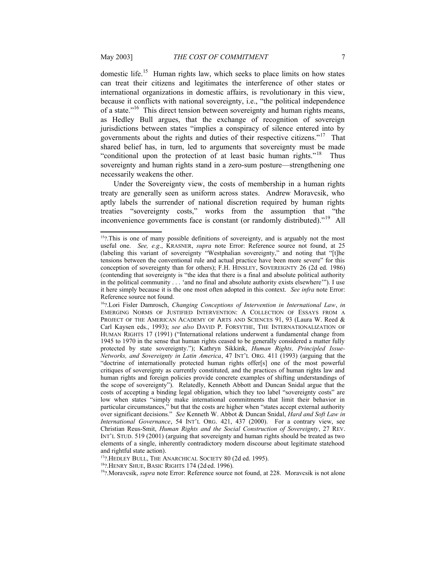<span id="page-6-2"></span>

domestic life.<sup>[15](#page-6-3)</sup> Human rights law, which seeks to place limits on how states can treat their citizens and legitimates the interference of other states or international organizations in domestic affairs, is revolutionary in this view, because it conflicts with national sovereignty, i.e., "the political independence of a state."[16](#page-6-4) This direct tension between sovereignty and human rights means, as Hedley Bull argues, that the exchange of recognition of sovereign jurisdictions between states "implies a conspiracy of silence entered into by governments about the rights and duties of their respective citizens."[17](#page-6-5) That shared belief has, in turn, led to arguments that sovereignty must be made "conditional upon the protection of at least basic human rights."<sup>[18](#page-6-6)</sup> Thus sovereignty and human rights stand in a zero-sum posture—strengthening one necessarily weakens the other.

Under the Sovereignty view, the costs of membership in a human rights treaty are generally seen as uniform across states. Andrew Moravcsik, who aptly labels the surrender of national discretion required by human rights treaties "sovereignty costs," works from the assumption that "the inconvenience governments face is constant (or randomly distributed)."<sup>[19](#page-6-7)</sup> All

<span id="page-6-5"></span> $17$ ? Hedley Bull, The Anarchical Society 80 (2d ed. 1995).

<span id="page-6-6"></span><span id="page-6-0"></span><sup>18</sup>?.HENRY SHUE, BASIC RIGHTS 174 (2d ed. 1996).

<span id="page-6-7"></span><sup>19</sup>?.Moravcsik, *supra* note [Error: Reference source not found](#page-6-0), at 228. Moravcsik is not alone

<span id="page-6-3"></span><sup>&</sup>lt;sup>15</sup>?.This is one of many possible definitions of sovereignty, and is arguably not the most useful one. *See, e.g*., KRASNER, *supra* note [Error: Reference source not found](#page-6-2), at 25 (labeling this variant of sovereignty "Westphalian sovereignty," and noting that "[t]he tensions between the conventional rule and actual practice have been more severe" for this conception of sovereignty than for others); F.H. HINSLEY, SOVEREIGNTY 26 (2d ed. 1986) (contending that sovereignty is "the idea that there is a final and absolute political authority in the political community . . . 'and no final and absolute authority exists elsewhere'"). I use it here simply because it is the one most often adopted in this context. *See infra* note [Error:](#page-6-1) [Reference source not found](#page-6-1).

<span id="page-6-4"></span><span id="page-6-1"></span><sup>16</sup>?.Lori Fisler Damrosch, *Changing Conceptions of Intervention in International Law*, *in* EMERGING NORMS OF JUSTIFIED INTERVENTION: A COLLECTION OF ESSAYS FROM A PROJECT OF THE AMERICAN ACADEMY OF ARTS AND SCIENCES 91, 93 (Laura W. Reed & Carl Kaysen eds., 1993); *see also* DAVID P. FORSYTHE, THE INTERNATIONALIZATION OF HUMAN RIGHTS 17 (1991) ("International relations underwent a fundamental change from 1945 to 1970 in the sense that human rights ceased to be generally considered a matter fully protected by state sovereignty."); Kathryn Sikkink, *Human Rights, Principled Issue-Networks, and Sovereignty in Latin America*, 47 INT'L ORG. 411 (1993) (arguing that the "doctrine of internationally protected human rights offer[s] one of the most powerful critiques of sovereignty as currently constituted, and the practices of human rights law and human rights and foreign policies provide concrete examples of shifting understandings of the scope of sovereignty"). Relatedly, Kenneth Abbott and Duncan Snidal argue that the costs of accepting a binding legal obligation, which they too label "sovereignty costs" are low when states "simply make international commitments that limit their behavior in particular circumstances," but that the costs are higher when "states accept external authority over significant decisions." *See* Kenneth W. Abbot & Duncan Snidal, *Hard and Soft Law in International Governance*, 54 INT'L ORG. 421, 437 (2000). For a contrary view, see Christian Reus-Smit, *Human Rights and the Social Construction of Sovereignty*, 27 REV. INT'L STUD. 519 (2001) (arguing that sovereignty and human rights should be treated as two elements of a single, inherently contradictory modern discourse about legitimate statehood and rightful state action).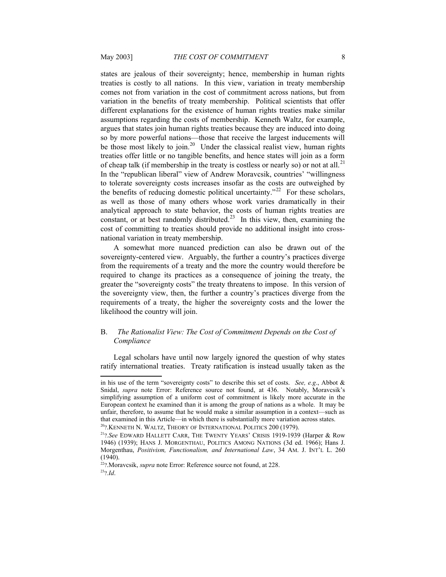states are jealous of their sovereignty; hence, membership in human rights treaties is costly to all nations. In this view, variation in treaty membership comes not from variation in the cost of commitment across nations, but from variation in the benefits of treaty membership. Political scientists that offer different explanations for the existence of human rights treaties make similar assumptions regarding the costs of membership. Kenneth Waltz, for example, argues that states join human rights treaties because they are induced into doing so by more powerful nations—those that receive the largest inducements will be those most likely to join.<sup>[20](#page-7-3)</sup> Under the classical realist view, human rights treaties offer little or no tangible benefits, and hence states will join as a form of cheap talk (if membership in the treaty is costless or nearly so) or not at all.<sup>[21](#page-7-4)</sup> In the "republican liberal" view of Andrew Moravcsik, countries' "willingness to tolerate sovereignty costs increases insofar as the costs are outweighed by the benefits of reducing domestic political uncertainty."<sup>[22](#page-7-5)</sup> For these scholars, as well as those of many others whose work varies dramatically in their analytical approach to state behavior, the costs of human rights treaties are constant, or at best randomly distributed.<sup>[23](#page-7-6)</sup> In this view, then, examining the cost of committing to treaties should provide no additional insight into crossnational variation in treaty membership.

A somewhat more nuanced prediction can also be drawn out of the sovereignty-centered view. Arguably, the further a country's practices diverge from the requirements of a treaty and the more the country would therefore be required to change its practices as a consequence of joining the treaty, the greater the "sovereignty costs" the treaty threatens to impose. In this version of the sovereignty view, then, the further a country's practices diverge from the requirements of a treaty, the higher the sovereignty costs and the lower the likelihood the country will join.

# <span id="page-7-0"></span>B. *The Rationalist View: The Cost of Commitment Depends on the Cost of Compliance*

Legal scholars have until now largely ignored the question of why states ratify international treaties. Treaty ratification is instead usually taken as the

<span id="page-7-2"></span>in his use of the term "sovereignty costs" to describe this set of costs. *See, e.g*., Abbot & Snidal, *supra* note [Error: Reference source not found](#page-7-2), at 436. Notably, Moravcsik's simplifying assumption of a uniform cost of commitment is likely more accurate in the European context he examined than it is among the group of nations as a whole. It may be unfair, therefore, to assume that he would make a similar assumption in a context—such as that examined in this Article—in which there is substantially more variation across states.

<span id="page-7-3"></span> $^{20}$ ?. KENNETH N. WALTZ, THEORY OF INTERNATIONAL POLITICS  $200$  (1979).

<span id="page-7-4"></span><sup>21</sup>?*.See* EDWARD HALLETT CARR, THE TWENTY YEARS' CRISIS 1919-1939 (Harper & Row 1946) (1939); HANS J. MORGENTHAU, POLITICS AMONG NATIONS (3d ed. 1966); Hans J. Morgenthau, *Positivism, Functionalism, and International Law*, 34 AM. J. INT'L L. 260 (1940).

<span id="page-7-6"></span><span id="page-7-5"></span><span id="page-7-1"></span><sup>22</sup>?.Moravcsik, *supra* note [Error: Reference source not found,](#page-7-1) at 228. <sup>23</sup>?*.Id*.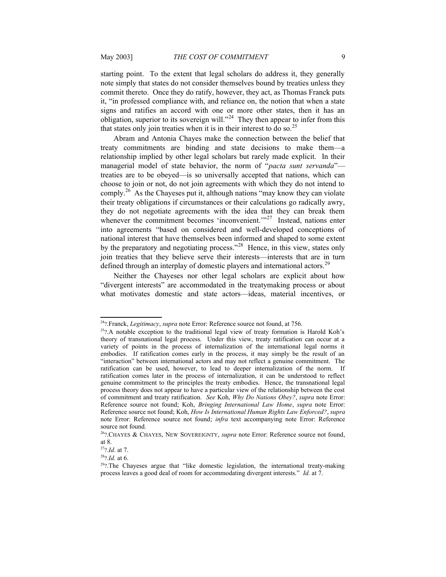starting point. To the extent that legal scholars do address it, they generally note simply that states do not consider themselves bound by treaties unless they commit thereto. Once they do ratify, however, they act, as Thomas Franck puts it, "in professed compliance with, and reliance on, the notion that when a state signs and ratifies an accord with one or more other states, then it has an obligation, superior to its sovereign will."<sup>[24](#page-8-6)</sup> They then appear to infer from this that states only join treaties when it is in their interest to do so.<sup>[25](#page-8-7)</sup>

Abram and Antonia Chayes make the connection between the belief that treaty commitments are binding and state decisions to make them—a relationship implied by other legal scholars but rarely made explicit. In their managerial model of state behavior, the norm of "*pacta sunt servanda*" treaties are to be obeyed—is so universally accepted that nations, which can choose to join or not, do not join agreements with which they do not intend to comply.<sup>[26](#page-8-8)</sup> As the Chayeses put it, although nations "may know they can violate their treaty obligations if circumstances or their calculations go radically awry, they do not negotiate agreements with the idea that they can break them whenever the commitment becomes 'inconvenient.'"<sup>[27](#page-8-9)</sup> Instead, nations enter into agreements "based on considered and well-developed conceptions of national interest that have themselves been informed and shaped to some extent by the preparatory and negotiating process."<sup>[28](#page-8-10)</sup> Hence, in this view, states only join treaties that they believe serve their interests—interests that are in turn defined through an interplay of domestic players and international actors.<sup>[29](#page-8-11)</sup>

Neither the Chayeses nor other legal scholars are explicit about how "divergent interests" are accommodated in the treatymaking process or about what motivates domestic and state actors—ideas, material incentives, or

<span id="page-8-6"></span><span id="page-8-5"></span><sup>24</sup>?.Franck, *Legitimacy*, *supra* note [Error: Reference source not found,](#page-8-5) at 756.

<span id="page-8-7"></span> $25$ ?.A notable exception to the traditional legal view of treaty formation is Harold Koh's theory of transnational legal process. Under this view, treaty ratification can occur at a variety of points in the process of internalization of the international legal norms it embodies. If ratification comes early in the process, it may simply be the result of an "interaction" between international actors and may not reflect a genuine commitment. The ratification can be used, however, to lead to deeper internalization of the norm. If ratification comes later in the process of internalization, it can be understood to reflect genuine commitment to the principles the treaty embodies. Hence, the transnational legal process theory does not appear to have a particular view of the relationship between the cost of commitment and treaty ratification. *See* Koh, *Why Do Nations Obey?*, *supra* note [Error:](#page-8-4) [Reference source not found](#page-8-4); Koh, *Bringing International Law Home*, *supra* note [Error:](#page-8-3) [Reference source not found](#page-8-3); Koh, *How Is International Human Rights Law Enforced?*, *supra* note [Error: Reference source not found](#page-8-2); *infra* text accompanying note [Error: Reference](#page-8-1) [source not found.](#page-8-1)

<span id="page-8-8"></span><span id="page-8-4"></span><span id="page-8-3"></span><span id="page-8-2"></span><span id="page-8-1"></span><span id="page-8-0"></span><sup>26</sup>?.CHAYES & CHAYES, NEW SOVEREIGNTY, *supra* note [Error: Reference source not found,](#page-8-0) at 8.

<span id="page-8-9"></span><sup>27</sup>?*.Id*. at 7.

<span id="page-8-10"></span><sup>28</sup>?*.Id.* at 6.

<span id="page-8-11"></span> $29$ ?.The Chayeses argue that "like domestic legislation, the international treaty-making process leaves a good deal of room for accommodating divergent interests." *Id.* at 7.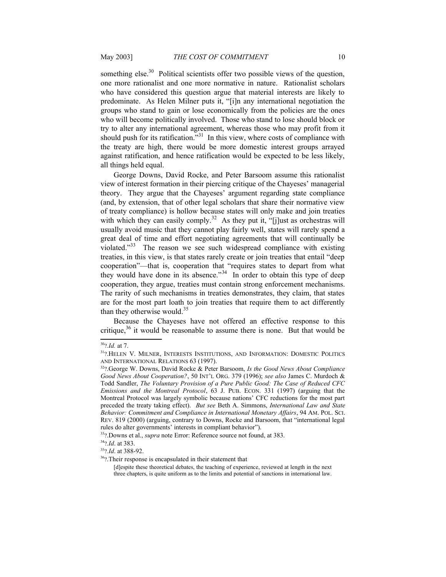something else.<sup>[30](#page-9-1)</sup> Political scientists offer two possible views of the question, one more rationalist and one more normative in nature. Rationalist scholars who have considered this question argue that material interests are likely to predominate. As Helen Milner puts it, "[i]n any international negotiation the groups who stand to gain or lose economically from the policies are the ones who will become politically involved. Those who stand to lose should block or try to alter any international agreement, whereas those who may profit from it should push for its ratification."<sup>[31](#page-9-2)</sup> In this view, where costs of compliance with the treaty are high, there would be more domestic interest groups arrayed against ratification, and hence ratification would be expected to be less likely, all things held equal.

George Downs, David Rocke, and Peter Barsoom assume this rationalist view of interest formation in their piercing critique of the Chayeses' managerial theory. They argue that the Chayeses' argument regarding state compliance (and, by extension, that of other legal scholars that share their normative view of treaty compliance) is hollow because states will only make and join treaties with which they can easily comply.<sup>[32](#page-9-3)</sup> As they put it, "[j]ust as orchestras will usually avoid music that they cannot play fairly well, states will rarely spend a great deal of time and effort negotiating agreements that will continually be violated."[33](#page-9-4) The reason we see such widespread compliance with existing treaties, in this view, is that states rarely create or join treaties that entail "deep cooperation"—that is, cooperation that "requires states to depart from what they would have done in its absence."<sup>[34](#page-9-5)</sup> In order to obtain this type of deep cooperation, they argue, treaties must contain strong enforcement mechanisms. The rarity of such mechanisms in treaties demonstrates, they claim, that states are for the most part loath to join treaties that require them to act differently than they otherwise would.<sup>[35](#page-9-6)</sup>

Because the Chayeses have not offered an effective response to this critique,<sup>[36](#page-9-7)</sup> it would be reasonable to assume there is none. But that would be

<span id="page-9-1"></span><sup>30</sup>?*.Id.* at 7.

<span id="page-9-2"></span><sup>&</sup>lt;sup>31</sup>?.HELEN V. MILNER, INTERESTS INSTITUTIONS, AND INFORMATION: DOMESTIC POLITICS AND INTERNATIONAL RELATIONS 63 (1997).

<span id="page-9-3"></span><sup>32</sup>?.George W. Downs, David Rocke & Peter Barsoom, *Is the Good News About Compliance Good News About Cooperation?*, 50 INT'L ORG. 379 (1996); *see also* James C. Murdoch & Todd Sandler, *The Voluntary Provision of a Pure Public Good: The Case of Reduced CFC Emissions and the Montreal Protocol*, 63 J. PUB. ECON. 331 (1997) (arguing that the Montreal Protocol was largely symbolic because nations' CFC reductions for the most part preceded the treaty taking effect). *But see* Beth A. Simmons, *International Law and State Behavior: Commitment and Compliance in International Monetary Affairs*, 94 AM. POL. SCI. REV. 819 (2000) (arguing, contrary to Downs, Rocke and Barsoom, that "international legal rules do alter governments' interests in compliant behavior").

<span id="page-9-4"></span><sup>33</sup>?.Downs et al., *supra* note [Error: Reference source not found](#page-9-0), at 383.

<span id="page-9-5"></span><sup>34</sup>?*.Id*. at 383.

<span id="page-9-6"></span><sup>35</sup>?*.Id*. at 388-92.

<span id="page-9-7"></span><sup>36</sup>?.Their response is encapsulated in their statement that

<span id="page-9-0"></span><sup>[</sup>d]espite these theoretical debates, the teaching of experience, reviewed at length in the next three chapters, is quite uniform as to the limits and potential of sanctions in international law.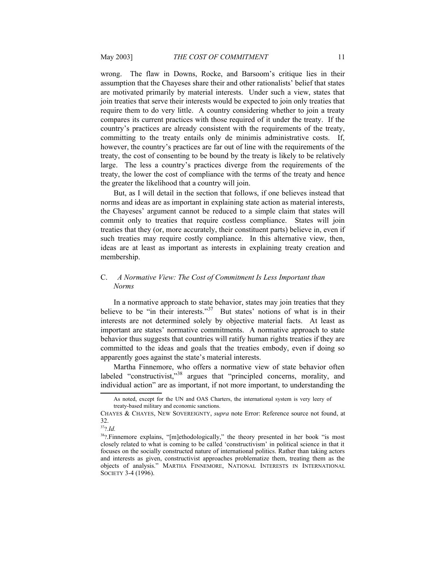wrong. The flaw in Downs, Rocke, and Barsoom's critique lies in their assumption that the Chayeses share their and other rationalists' belief that states are motivated primarily by material interests. Under such a view, states that join treaties that serve their interests would be expected to join only treaties that require them to do very little. A country considering whether to join a treaty compares its current practices with those required of it under the treaty. If the country's practices are already consistent with the requirements of the treaty, committing to the treaty entails only de minimis administrative costs. If, however, the country's practices are far out of line with the requirements of the treaty, the cost of consenting to be bound by the treaty is likely to be relatively large. The less a country's practices diverge from the requirements of the treaty, the lower the cost of compliance with the terms of the treaty and hence the greater the likelihood that a country will join.

But, as I will detail in the section that follows, if one believes instead that norms and ideas are as important in explaining state action as material interests, the Chayeses' argument cannot be reduced to a simple claim that states will commit only to treaties that require costless compliance. States will join treaties that they (or, more accurately, their constituent parts) believe in, even if such treaties may require costly compliance. In this alternative view, then, ideas are at least as important as interests in explaining treaty creation and membership.

# <span id="page-10-0"></span>C. *A Normative View: The Cost of Commitment Is Less Important than Norms*

In a normative approach to state behavior, states may join treaties that they believe to be "in their interests."<sup>[37](#page-10-2)</sup> But states' notions of what is in their interests are not determined solely by objective material facts. At least as important are states' normative commitments. A normative approach to state behavior thus suggests that countries will ratify human rights treaties if they are committed to the ideas and goals that the treaties embody, even if doing so apparently goes against the state's material interests.

Martha Finnemore, who offers a normative view of state behavior often labeled "constructivist,"<sup>[38](#page-10-3)</sup> argues that "principled concerns, morality, and individual action" are as important, if not more important, to understanding the

<span id="page-10-2"></span><sup>37</sup>?*.Id.*

<span id="page-10-1"></span>As noted, except for the UN and OAS Charters, the international system is very leery of treaty-based military and economic sanctions.

CHAYES & CHAYES, NEW SOVEREIGNTY, *supra* note [Error: Reference source not found](#page-10-1), at 32.

<span id="page-10-3"></span><sup>&</sup>lt;sup>38</sup>?.Finnemore explains, "[m]ethodologically," the theory presented in her book "is most closely related to what is coming to be called 'constructivism' in political science in that it focuses on the socially constructed nature of international politics. Rather than taking actors and interests as given, constructivist approaches problematize them, treating them as the objects of analysis." MARTHA FINNEMORE, NATIONAL INTERESTS IN INTERNATIONAL SOCIETY 3-4 (1996).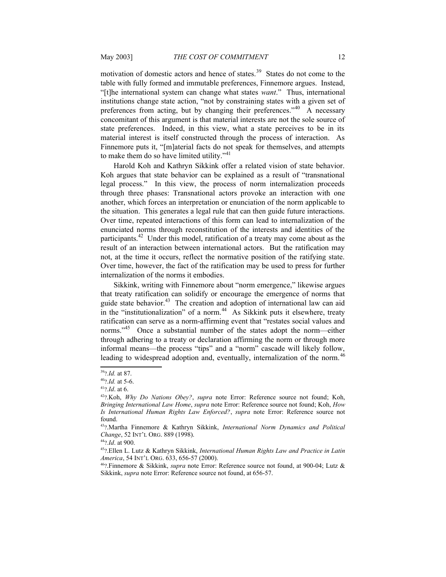motivation of domestic actors and hence of states.<sup>[39](#page-11-5)</sup> States do not come to the table with fully formed and immutable preferences, Finnemore argues. Instead, "[t]he international system can change what states *want*." Thus, international institutions change state action, "not by constraining states with a given set of preferences from acting, but by changing their preferences."<sup>[40](#page-11-6)</sup> A necessary concomitant of this argument is that material interests are not the sole source of state preferences. Indeed, in this view, what a state perceives to be in its material interest is itself constructed through the process of interaction. As Finnemore puts it, "[m]aterial facts do not speak for themselves, and attempts to make them do so have limited utility." $41$ 

Harold Koh and Kathryn Sikkink offer a related vision of state behavior. Koh argues that state behavior can be explained as a result of "transnational legal process." In this view, the process of norm internalization proceeds through three phases: Transnational actors provoke an interaction with one another, which forces an interpretation or enunciation of the norm applicable to the situation. This generates a legal rule that can then guide future interactions. Over time, repeated interactions of this form can lead to internalization of the enunciated norms through reconstitution of the interests and identities of the participants.[42](#page-11-8) Under this model, ratification of a treaty may come about as the result of an interaction between international actors. But the ratification may not, at the time it occurs, reflect the normative position of the ratifying state. Over time, however, the fact of the ratification may be used to press for further internalization of the norms it embodies.

Sikkink, writing with Finnemore about "norm emergence," likewise argues that treaty ratification can solidify or encourage the emergence of norms that guide state behavior. $43$  The creation and adoption of international law can aid in the "institutionalization" of a norm.<sup>[44](#page-11-10)</sup> As Sikkink puts it elsewhere, treaty ratification can serve as a norm-affirming event that "restates social values and norms."<sup>[45](#page-11-11)</sup> Once a substantial number of the states adopt the norm—either through adhering to a treaty or declaration affirming the norm or through more informal means—the process "tips" and a "norm" cascade will likely follow, leading to widespread adoption and, eventually, internalization of the norm.<sup>[46](#page-11-12)</sup>

<span id="page-11-5"></span><sup>39</sup>?*.Id.* at 87.

<span id="page-11-6"></span><span id="page-11-4"></span><sup>40</sup>?*.Id.* at 5-6.

<span id="page-11-7"></span><sup>41</sup>?*.Id*. at 6.

<span id="page-11-8"></span><span id="page-11-3"></span><sup>42</sup>?.Koh, *Why Do Nations Obey?*, *supra* note [Error: Reference source not found](#page-11-4); Koh, *Bringing International Law Home*, *supra* note [Error: Reference source not found;](#page-11-3) Koh, *How Is International Human Rights Law Enforced?*, *supra* note [Error: Reference source not](#page-11-2) [found](#page-11-2).

<span id="page-11-9"></span><span id="page-11-2"></span><sup>43</sup>?.Martha Finnemore & Kathryn Sikkink, *International Norm Dynamics and Political Change*, 52 INT'L ORG. 889 (1998).

<span id="page-11-10"></span><sup>44</sup>?*.Id*. at 900.

<span id="page-11-11"></span><sup>45</sup>?.Ellen L. Lutz & Kathryn Sikkink, *International Human Rights Law and Practice in Latin America*, 54 INT'L ORG. 633, 656-57 (2000).

<span id="page-11-12"></span><span id="page-11-1"></span><span id="page-11-0"></span><sup>46</sup>?.Finnemore & Sikkink, *supra* note [Error: Reference source not found](#page-11-1), at 900-04; Lutz & Sikkink, *supra* note [Error: Reference source not found](#page-11-0), at 656-57.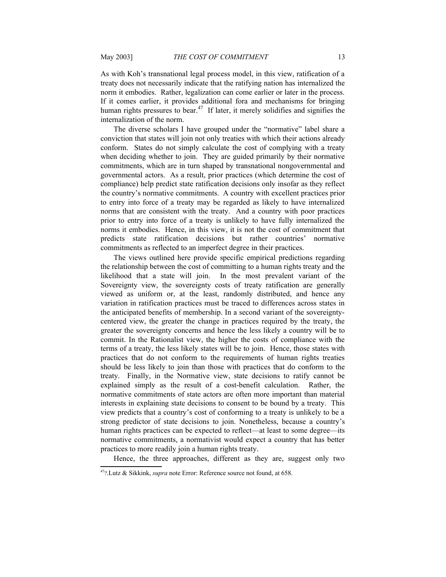As with Koh's transnational legal process model, in this view, ratification of a treaty does not necessarily indicate that the ratifying nation has internalized the norm it embodies. Rather, legalization can come earlier or later in the process. If it comes earlier, it provides additional fora and mechanisms for bringing human rights pressures to bear.<sup>[47](#page-12-1)</sup> If later, it merely solidifies and signifies the internalization of the norm.

The diverse scholars I have grouped under the "normative" label share a conviction that states will join not only treaties with which their actions already conform. States do not simply calculate the cost of complying with a treaty when deciding whether to join. They are guided primarily by their normative commitments, which are in turn shaped by transnational nongovernmental and governmental actors. As a result, prior practices (which determine the cost of compliance) help predict state ratification decisions only insofar as they reflect the country's normative commitments. A country with excellent practices prior to entry into force of a treaty may be regarded as likely to have internalized norms that are consistent with the treaty. And a country with poor practices prior to entry into force of a treaty is unlikely to have fully internalized the norms it embodies. Hence, in this view, it is not the cost of commitment that predicts state ratification decisions but rather countries' normative commitments as reflected to an imperfect degree in their practices.

The views outlined here provide specific empirical predictions regarding the relationship between the cost of committing to a human rights treaty and the likelihood that a state will join. In the most prevalent variant of the Sovereignty view, the sovereignty costs of treaty ratification are generally viewed as uniform or, at the least, randomly distributed, and hence any variation in ratification practices must be traced to differences across states in the anticipated benefits of membership. In a second variant of the sovereigntycentered view, the greater the change in practices required by the treaty, the greater the sovereignty concerns and hence the less likely a country will be to commit. In the Rationalist view, the higher the costs of compliance with the terms of a treaty, the less likely states will be to join. Hence, those states with practices that do not conform to the requirements of human rights treaties should be less likely to join than those with practices that do conform to the treaty. Finally, in the Normative view, state decisions to ratify cannot be explained simply as the result of a cost-benefit calculation. Rather, the normative commitments of state actors are often more important than material interests in explaining state decisions to consent to be bound by a treaty. This view predicts that a country's cost of conforming to a treaty is unlikely to be a strong predictor of state decisions to join. Nonetheless, because a country's human rights practices can be expected to reflect—at least to some degree—its normative commitments, a normativist would expect a country that has better practices to more readily join a human rights treaty.

<span id="page-12-0"></span>Hence, the three approaches, different as they are, suggest only two

<span id="page-12-1"></span><sup>47</sup>?.Lutz & Sikkink, *supra* note [Error: Reference source not found](#page-12-0), at 658.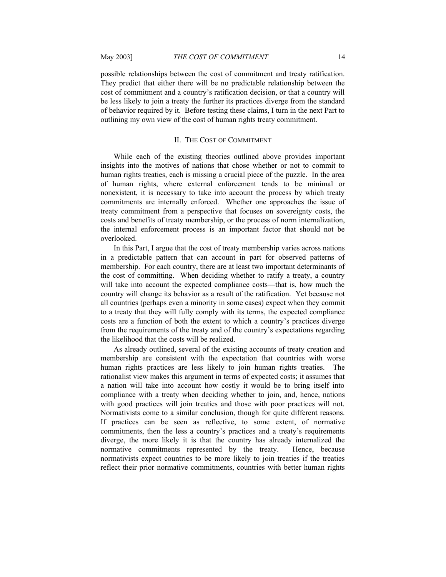possible relationships between the cost of commitment and treaty ratification. They predict that either there will be no predictable relationship between the cost of commitment and a country's ratification decision, or that a country will be less likely to join a treaty the further its practices diverge from the standard of behavior required by it. Before testing these claims, I turn in the next Part to outlining my own view of the cost of human rights treaty commitment.

#### <span id="page-13-0"></span>II. THE COST OF COMMITMENT

While each of the existing theories outlined above provides important insights into the motives of nations that chose whether or not to commit to human rights treaties, each is missing a crucial piece of the puzzle. In the area of human rights, where external enforcement tends to be minimal or nonexistent, it is necessary to take into account the process by which treaty commitments are internally enforced. Whether one approaches the issue of treaty commitment from a perspective that focuses on sovereignty costs, the costs and benefits of treaty membership, or the process of norm internalization, the internal enforcement process is an important factor that should not be overlooked.

In this Part, I argue that the cost of treaty membership varies across nations in a predictable pattern that can account in part for observed patterns of membership. For each country, there are at least two important determinants of the cost of committing. When deciding whether to ratify a treaty, a country will take into account the expected compliance costs—that is, how much the country will change its behavior as a result of the ratification. Yet because not all countries (perhaps even a minority in some cases) expect when they commit to a treaty that they will fully comply with its terms, the expected compliance costs are a function of both the extent to which a country's practices diverge from the requirements of the treaty and of the country's expectations regarding the likelihood that the costs will be realized.

As already outlined, several of the existing accounts of treaty creation and membership are consistent with the expectation that countries with worse human rights practices are less likely to join human rights treaties. The rationalist view makes this argument in terms of expected costs; it assumes that a nation will take into account how costly it would be to bring itself into compliance with a treaty when deciding whether to join, and, hence, nations with good practices will join treaties and those with poor practices will not. Normativists come to a similar conclusion, though for quite different reasons. If practices can be seen as reflective, to some extent, of normative commitments, then the less a country's practices and a treaty's requirements diverge, the more likely it is that the country has already internalized the normative commitments represented by the treaty. Hence, because normativists expect countries to be more likely to join treaties if the treaties reflect their prior normative commitments, countries with better human rights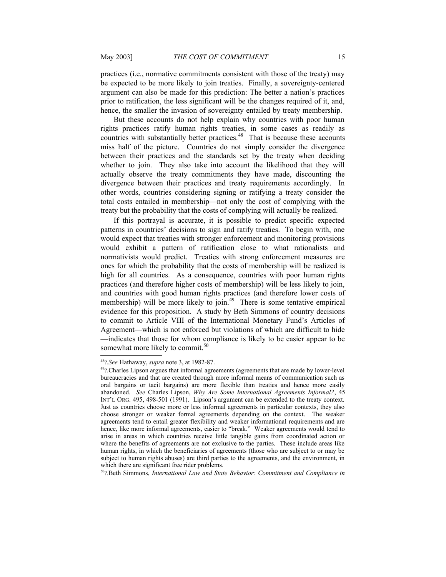practices (i.e., normative commitments consistent with those of the treaty) may be expected to be more likely to join treaties. Finally, a sovereignty-centered argument can also be made for this prediction: The better a nation's practices prior to ratification, the less significant will be the changes required of it, and, hence, the smaller the invasion of sovereignty entailed by treaty membership.

But these accounts do not help explain why countries with poor human rights practices ratify human rights treaties, in some cases as readily as countries with substantially better practices.<sup>[48](#page-14-0)</sup> That is because these accounts miss half of the picture. Countries do not simply consider the divergence between their practices and the standards set by the treaty when deciding whether to join. They also take into account the likelihood that they will actually observe the treaty commitments they have made, discounting the divergence between their practices and treaty requirements accordingly. In other words, countries considering signing or ratifying a treaty consider the total costs entailed in membership—not only the cost of complying with the treaty but the probability that the costs of complying will actually be realized.

If this portrayal is accurate, it is possible to predict specific expected patterns in countries' decisions to sign and ratify treaties. To begin with, one would expect that treaties with stronger enforcement and monitoring provisions would exhibit a pattern of ratification close to what rationalists and normativists would predict. Treaties with strong enforcement measures are ones for which the probability that the costs of membership will be realized is high for all countries. As a consequence, countries with poor human rights practices (and therefore higher costs of membership) will be less likely to join, and countries with good human rights practices (and therefore lower costs of membership) will be more likely to join.<sup>[49](#page-14-1)</sup> There is some tentative empirical evidence for this proposition. A study by Beth Simmons of country decisions to commit to Article VIII of the International Monetary Fund's Articles of Agreement—which is not enforced but violations of which are difficult to hide —indicates that those for whom compliance is likely to be easier appear to be somewhat more likely to commit.<sup>[50](#page-14-2)</sup>

<span id="page-14-0"></span><sup>48</sup>?*.See* Hathaway, *supra* note 3, at 1982-87.

<span id="page-14-1"></span><sup>&</sup>lt;sup>49</sup>?.Charles Lipson argues that informal agreements (agreements that are made by lower-level bureaucracies and that are created through more informal means of communication such as oral bargains or tacit bargains) are more flexible than treaties and hence more easily abandoned. *See* Charles Lipson, *Why Are Some International Agreements Informal?*, 45 INT'L ORG. 495, 498-501 (1991). Lipson's argument can be extended to the treaty context. Just as countries choose more or less informal agreements in particular contexts, they also choose stronger or weaker formal agreements depending on the context. The weaker agreements tend to entail greater flexibility and weaker informational requirements and are hence, like more informal agreements, easier to "break." Weaker agreements would tend to arise in areas in which countries receive little tangible gains from coordinated action or where the benefits of agreements are not exclusive to the parties. These include areas like human rights, in which the beneficiaries of agreements (those who are subject to or may be subject to human rights abuses) are third parties to the agreements, and the environment, in which there are significant free rider problems.

<span id="page-14-2"></span><sup>50</sup>?.Beth Simmons, *International Law and State Behavior: Commitment and Compliance in*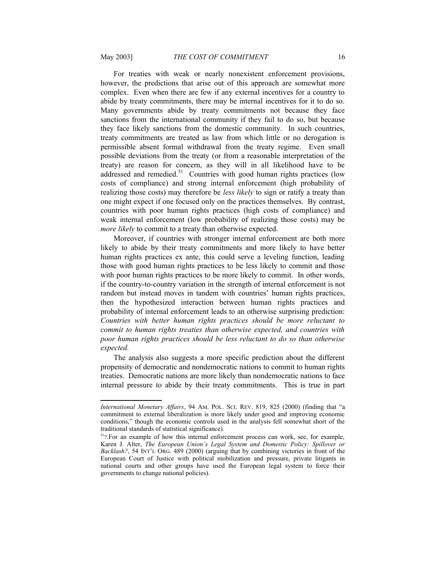For treaties with weak or nearly nonexistent enforcement provisions, however, the predictions that arise out of this approach are somewhat more complex. Even when there are few if any external incentives for a country to abide by treaty commitments, there may be internal incentives for it to do so. Many governments abide by treaty commitments not because they face sanctions from the international community if they fail to do so, but because they face likely sanctions from the domestic community. In such countries, treaty commitments are treated as law from which little or no derogation is permissible absent formal withdrawal from the treaty regime. Even small possible deviations from the treaty (or from a reasonable interpretation of the treaty) are reason for concern, as they will in all likelihood have to be addressed and remedied.<sup>[51](#page-15-0)</sup> Countries with good human rights practices (low costs of compliance) and strong internal enforcement (high probability of realizing those costs) may therefore be *less likely* to sign or ratify a treaty than one might expect if one focused only on the practices themselves. By contrast, countries with poor human rights practices (high costs of compliance) and weak internal enforcement (low probability of realizing those costs) may be *more likely* to commit to a treaty than otherwise expected.

Moreover, if countries with stronger internal enforcement are both more likely to abide by their treaty commitments and more likely to have better human rights practices ex ante, this could serve a leveling function, leading those with good human rights practices to be less likely to commit and those with poor human rights practices to be more likely to commit. In other words, if the country-to-country variation in the strength of internal enforcement is not random but instead moves in tandem with countries' human rights practices, then the hypothesized interaction between human rights practices and probability of internal enforcement leads to an otherwise surprising prediction: *Countries with better human rights practices should be more reluctant to commit to human rights treaties than otherwise expected, and countries with poor human rights practices should be less reluctant to do so than otherwise expected.*

The analysis also suggests a more specific prediction about the different propensity of democratic and nondemocratic nations to commit to human rights treaties. Democratic nations are more likely than nondemocratic nations to face internal pressure to abide by their treaty commitments. This is true in part

*International Monetary Affairs*, 94 AM. POL. SCI. REV. 819, 825 (2000) (finding that "a commitment to external liberalization is more likely under good and improving economic conditions," though the economic controls used in the analysis fell somewhat short of the traditional standards of statistical significance).

<span id="page-15-0"></span> $51$ ?.For an example of how this internal enforcement process can work, see, for example, Karen J. Alter, *The European Union's Legal System and Domestic Policy: Spillover or Backlash?*, 54 INT'L ORG. 489 (2000) (arguing that by combining victories in front of the European Court of Justice with political mobilization and pressure, private litigants in national courts and other groups have used the European legal system to force their governments to change national policies).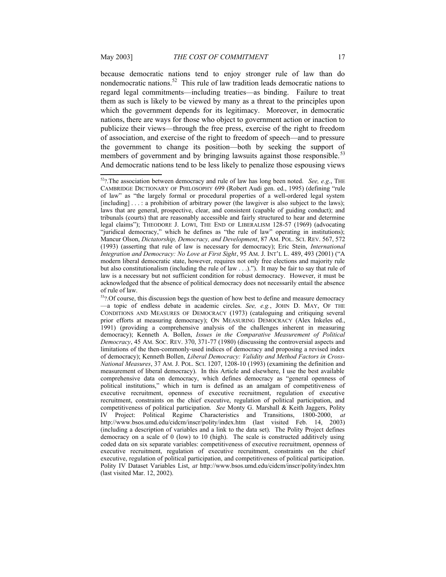because democratic nations tend to enjoy stronger rule of law than do nondemocratic nations.[52](#page-16-0) This rule of law tradition leads democratic nations to regard legal commitments—including treaties—as binding. Failure to treat them as such is likely to be viewed by many as a threat to the principles upon which the government depends for its legitimacy. Moreover, in democratic nations, there are ways for those who object to government action or inaction to publicize their views—through the free press, exercise of the right to freedom of association, and exercise of the right to freedom of speech—and to pressure the government to change its position—both by seeking the support of members of government and by bringing lawsuits against those responsible.<sup>[53](#page-16-1)</sup> And democratic nations tend to be less likely to penalize those espousing views

<span id="page-16-0"></span><sup>52</sup>?.The association between democracy and rule of law has long been noted. *See, e.g*., THE CAMBRIDGE DICTIONARY OF PHILOSOPHY 699 (Robert Audi gen. ed., 1995) (defining "rule of law" as "the largely formal or procedural properties of a well-ordered legal system [including] . . . : a prohibition of arbitrary power (the lawgiver is also subject to the laws); laws that are general, prospective, clear, and consistent (capable of guiding conduct); and tribunals (courts) that are reasonably accessible and fairly structured to hear and determine legal claims"); THEODORE J. LOWI, THE END OF LIBERALISM 128-57 (1969) (advocating "juridical democracy," which he defines as "the rule of law" operating in institutions); Mancur Olson, *Dictatorship, Democracy, and Development*, 87 AM. POL. SCI. REV. 567, 572 (1993) (asserting that rule of law is necessary for democracy); Eric Stein, *International Integration and Democracy: No Love at First Sight*, 95 AM. J. INT'L L. 489, 493 (2001) ("A modern liberal democratic state, however, requires not only free elections and majority rule but also constitutionalism (including the rule of law . . .)."). It may be fair to say that rule of law is a necessary but not sufficient condition for robust democracy. However, it must be acknowledged that the absence of political democracy does not necessarily entail the absence of rule of law.

<span id="page-16-1"></span> $53$ ?. Of course, this discussion begs the question of how best to define and measure democracy —a topic of endless debate in academic circles. *See, e.g.*, JOHN D. MAY, OF THE CONDITIONS AND MEASURES OF DEMOCRACY (1973) (cataloguing and critiquing several prior efforts at measuring democracy); ON MEASURING DEMOCRACY (Alex Inkeles ed., 1991) (providing a comprehensive analysis of the challenges inherent in measuring democracy); Kenneth A. Bollen, *Issues in the Comparative Measurement of Political Democracy*, 45 AM. SOC. REV. 370, 371-77 (1980) (discussing the controversial aspects and limitations of the then-commonly-used indices of democracy and proposing a revised index of democracy); Kenneth Bollen, *Liberal Democracy: Validity and Method Factors in Cross-National Measures*, 37 AM. J. POL. SCI. 1207, 1208-10 (1993) (examining the definition and measurement of liberal democracy). In this Article and elsewhere, I use the best available comprehensive data on democracy, which defines democracy as "general openness of political institutions," which in turn is defined as an amalgam of competitiveness of executive recruitment, openness of executive recruitment, regulation of executive recruitment, constraints on the chief executive, regulation of political participation, and competitiveness of political participation. *See* Monty G. Marshall & Keith Jaggers, Polity IV Project: Political Regime Characteristics and Transitions, 1800-2000, *at* http://www.bsos.umd.edu/cidcm/inscr/polity/index.htm (last visited Feb. 14, 2003) (including a description of variables and a link to the data set). The Polity Project defines democracy on a scale of 0 (low) to 10 (high). The scale is constructed additively using coded data on six separate variables: competitiveness of executive recruitment, openness of executive recruitment, regulation of executive recruitment, constraints on the chief executive, regulation of political participation, and competitiveness of political participation. Polity IV Dataset Variables List, *at* http://www.bsos.umd.edu/cidcm/inscr/polity/index.htm (last visited Mar. 12, 2002).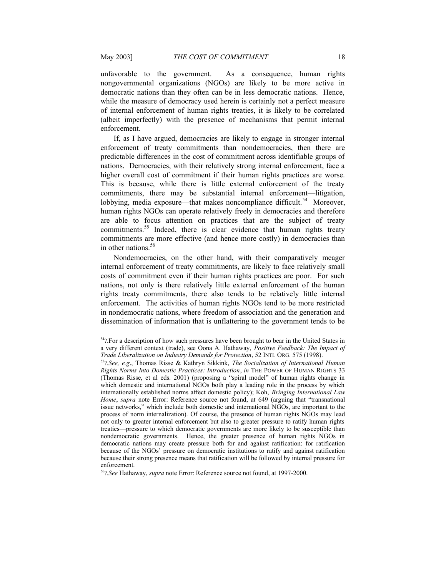unfavorable to the government. As a consequence, human rights nongovernmental organizations (NGOs) are likely to be more active in democratic nations than they often can be in less democratic nations. Hence, while the measure of democracy used herein is certainly not a perfect measure of internal enforcement of human rights treaties, it is likely to be correlated (albeit imperfectly) with the presence of mechanisms that permit internal enforcement.

If, as I have argued, democracies are likely to engage in stronger internal enforcement of treaty commitments than nondemocracies, then there are predictable differences in the cost of commitment across identifiable groups of nations. Democracies, with their relatively strong internal enforcement, face a higher overall cost of commitment if their human rights practices are worse. This is because, while there is little external enforcement of the treaty commitments, there may be substantial internal enforcement—litigation, lobbying, media exposure—that makes noncompliance difficult.<sup>[54](#page-17-2)</sup> Moreover, human rights NGOs can operate relatively freely in democracies and therefore are able to focus attention on practices that are the subject of treaty commitments.<sup>[55](#page-17-3)</sup> Indeed, there is clear evidence that human rights treaty commitments are more effective (and hence more costly) in democracies than in other nations.<sup>[56](#page-17-4)</sup>

Nondemocracies, on the other hand, with their comparatively meager internal enforcement of treaty commitments, are likely to face relatively small costs of commitment even if their human rights practices are poor. For such nations, not only is there relatively little external enforcement of the human rights treaty commitments, there also tends to be relatively little internal enforcement. The activities of human rights NGOs tend to be more restricted in nondemocratic nations, where freedom of association and the generation and dissemination of information that is unflattering to the government tends to be

<span id="page-17-2"></span><sup>&</sup>lt;sup>54</sup>?.For a description of how such pressures have been brought to bear in the United States in a very different context (trade), see Oona A. Hathaway, *Positive Feedback: The Impact of Trade Liberalization on Industry Demands for Protection*, 52 INTL ORG. 575 (1998).

<span id="page-17-3"></span><span id="page-17-1"></span><sup>55</sup>?*.See, e.g*., Thomas Risse & Kathryn Sikkink, *The Socialization of International Human Rights Norms Into Domestic Practices: Introduction*, *in* THE POWER OF HUMAN RIGHTS 33 (Thomas Risse, et al eds. 2001) (proposing a "spiral model" of human rights change in which domestic and international NGOs both play a leading role in the process by which internationally established norms affect domestic policy); Koh, *Bringing International Law Home*, *supra* note [Error: Reference source not found](#page-17-1), at 649 (arguing that "transnational issue networks," which include both domestic and international NGOs, are important to the process of norm internalization). Of course, the presence of human rights NGOs may lead not only to greater internal enforcement but also to greater pressure to ratify human rights treaties—pressure to which democratic governments are more likely to be susceptible than nondemocratic governments. Hence, the greater presence of human rights NGOs in democratic nations may create pressure both for and against ratification: for ratification because of the NGOs' pressure on democratic institutions to ratify and against ratification because their strong presence means that ratification will be followed by internal pressure for enforcement.

<span id="page-17-4"></span><span id="page-17-0"></span><sup>56</sup>?*.See* Hathaway, *supra* note [Error: Reference source not found](#page-17-0), at 1997-2000.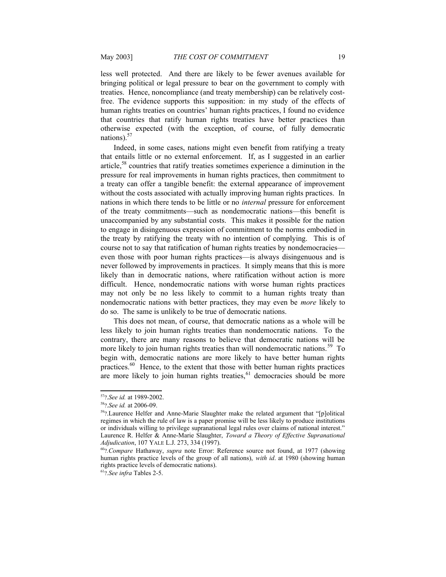less well protected. And there are likely to be fewer avenues available for bringing political or legal pressure to bear on the government to comply with treaties. Hence, noncompliance (and treaty membership) can be relatively costfree. The evidence supports this supposition: in my study of the effects of human rights treaties on countries' human rights practices, I found no evidence that countries that ratify human rights treaties have better practices than otherwise expected (with the exception, of course, of fully democratic nations). $57$ 

Indeed, in some cases, nations might even benefit from ratifying a treaty that entails little or no external enforcement. If, as I suggested in an earlier article,<sup>[58](#page-18-2)</sup> countries that ratify treaties sometimes experience a diminution in the pressure for real improvements in human rights practices, then commitment to a treaty can offer a tangible benefit: the external appearance of improvement without the costs associated with actually improving human rights practices. In nations in which there tends to be little or no *internal* pressure for enforcement of the treaty commitments—such as nondemocratic nations—this benefit is unaccompanied by any substantial costs. This makes it possible for the nation to engage in disingenuous expression of commitment to the norms embodied in the treaty by ratifying the treaty with no intention of complying. This is of course not to say that ratification of human rights treaties by nondemocracies even those with poor human rights practices—is always disingenuous and is never followed by improvements in practices. It simply means that this is more likely than in democratic nations, where ratification without action is more difficult. Hence, nondemocratic nations with worse human rights practices may not only be no less likely to commit to a human rights treaty than nondemocratic nations with better practices, they may even be *more* likely to do so. The same is unlikely to be true of democratic nations.

This does not mean, of course, that democratic nations as a whole will be less likely to join human rights treaties than nondemocratic nations. To the contrary, there are many reasons to believe that democratic nations will be more likely to join human rights treaties than will nondemocratic nations.<sup>[59](#page-18-3)</sup> To begin with, democratic nations are more likely to have better human rights practices.<sup>[60](#page-18-4)</sup> Hence, to the extent that those with better human rights practices are more likely to join human rights treaties,  $61$  democracies should be more

<span id="page-18-1"></span><sup>57</sup>?.*See id.* at 1989-2002.

<span id="page-18-2"></span><sup>58</sup>?.*See id.* at 2006-09.

<span id="page-18-3"></span><sup>59</sup>?.Laurence Helfer and Anne-Marie Slaughter make the related argument that "[p]olitical regimes in which the rule of law is a paper promise will be less likely to produce institutions or individuals willing to privilege supranational legal rules over claims of national interest." Laurence R. Helfer & Anne-Marie Slaughter, *Toward a Theory of Effective Supranational Adjudication*, 107 YALE L.J. 273, 334 (1997).

<span id="page-18-4"></span><span id="page-18-0"></span><sup>60</sup>?*.Compare* Hathaway, *supra* note [Error: Reference source not found](#page-18-0), at 1977 (showing human rights practice levels of the group of all nations), *with id*. at 1980 (showing human rights practice levels of democratic nations).

<span id="page-18-5"></span><sup>61</sup>?*.See infra* Tables 2-5.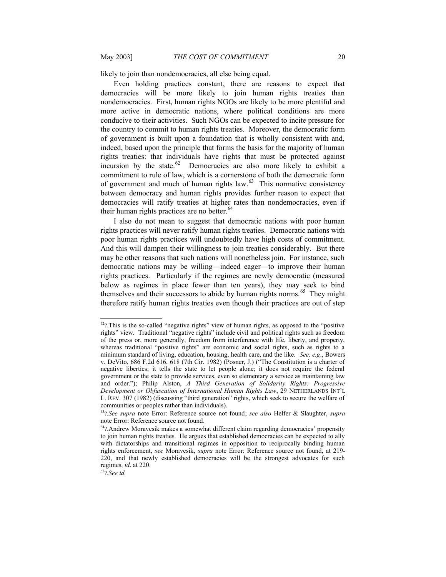likely to join than nondemocracies, all else being equal.

Even holding practices constant, there are reasons to expect that democracies will be more likely to join human rights treaties than nondemocracies. First, human rights NGOs are likely to be more plentiful and more active in democratic nations, where political conditions are more conducive to their activities. Such NGOs can be expected to incite pressure for the country to commit to human rights treaties. Moreover, the democratic form of government is built upon a foundation that is wholly consistent with and, indeed, based upon the principle that forms the basis for the majority of human rights treaties: that individuals have rights that must be protected against incursion by the state. $62$  Democracies are also more likely to exhibit a commitment to rule of law, which is a cornerstone of both the democratic form of government and much of human rights law. $63$  This normative consistency between democracy and human rights provides further reason to expect that democracies will ratify treaties at higher rates than nondemocracies, even if their human rights practices are no better.<sup>[64](#page-19-5)</sup>

I also do not mean to suggest that democratic nations with poor human rights practices will never ratify human rights treaties. Democratic nations with poor human rights practices will undoubtedly have high costs of commitment. And this will dampen their willingness to join treaties considerably. But there may be other reasons that such nations will nonetheless join. For instance, such democratic nations may be willing—indeed eager—to improve their human rights practices. Particularly if the regimes are newly democratic (measured below as regimes in place fewer than ten years), they may seek to bind themselves and their successors to abide by human rights norms.<sup>[65](#page-19-6)</sup> They might therefore ratify human rights treaties even though their practices are out of step

<span id="page-19-3"></span> $62$ ?. This is the so-called "negative rights" view of human rights, as opposed to the "positive" rights" view. Traditional "negative rights" include civil and political rights such as freedom of the press or, more generally, freedom from interference with life, liberty, and property, whereas traditional "positive rights" are economic and social rights, such as rights to a minimum standard of living, education, housing, health care, and the like. *See, e.g*., Bowers v. DeVito, 686 F.2d 616, 618 (7th Cir. 1982) (Posner, J.) ("The Constitution is a charter of negative liberties; it tells the state to let people alone; it does not require the federal government or the state to provide services, even so elementary a service as maintaining law and order."); Philip Alston, *A Third Generation of Solidarity Rights: Progressive Development or Obfuscation of International Human Rights Law*, 29 NETHERLANDS INT'L L. REV. 307 (1982) (discussing "third generation" rights, which seek to secure the welfare of communities or peoples rather than individuals).

<span id="page-19-4"></span><span id="page-19-2"></span><span id="page-19-1"></span><sup>63</sup>?*.See supra* note [Error: Reference source not found](#page-19-2); *see also* Helfer & Slaughter, *supra* note [Error: Reference source not found.](#page-19-1)

<span id="page-19-5"></span><span id="page-19-0"></span><sup>64</sup>?.Andrew Moravcsik makes a somewhat different claim regarding democracies' propensity to join human rights treaties. He argues that established democracies can be expected to ally with dictatorships and transitional regimes in opposition to reciprocally binding human rights enforcement, *see* Moravcsik, *supra* note [Error: Reference source not found](#page-19-0), at 219- 220, and that newly established democracies will be the strongest advocates for such regimes, *id*. at 220.

<span id="page-19-6"></span><sup>65</sup>?*.See id.*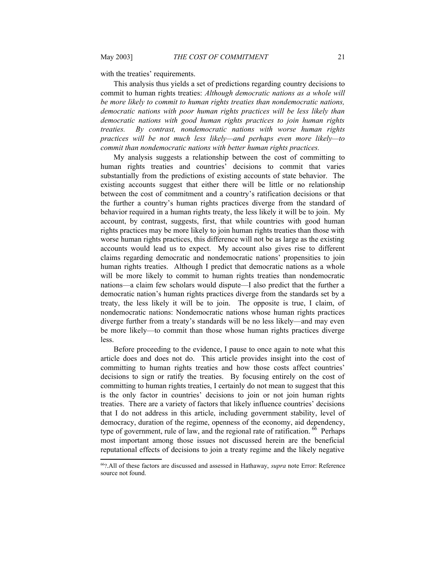with the treaties' requirements.

This analysis thus yields a set of predictions regarding country decisions to commit to human rights treaties: *Although democratic nations as a whole will be more likely to commit to human rights treaties than nondemocratic nations, democratic nations with poor human rights practices will be less likely than democratic nations with good human rights practices to join human rights treaties. By contrast, nondemocratic nations with worse human rights practices will be not much less likely—and perhaps even more likely—to commit than nondemocratic nations with better human rights practices.*

My analysis suggests a relationship between the cost of committing to human rights treaties and countries' decisions to commit that varies substantially from the predictions of existing accounts of state behavior. The existing accounts suggest that either there will be little or no relationship between the cost of commitment and a country's ratification decisions or that the further a country's human rights practices diverge from the standard of behavior required in a human rights treaty, the less likely it will be to join. My account, by contrast, suggests, first, that while countries with good human rights practices may be more likely to join human rights treaties than those with worse human rights practices, this difference will not be as large as the existing accounts would lead us to expect. My account also gives rise to different claims regarding democratic and nondemocratic nations' propensities to join human rights treaties. Although I predict that democratic nations as a whole will be more likely to commit to human rights treaties than nondemocratic nations—a claim few scholars would dispute—I also predict that the further a democratic nation's human rights practices diverge from the standards set by a treaty, the less likely it will be to join. The opposite is true, I claim, of nondemocratic nations: Nondemocratic nations whose human rights practices diverge further from a treaty's standards will be no less likely—and may even be more likely—to commit than those whose human rights practices diverge less.

Before proceeding to the evidence, I pause to once again to note what this article does and does not do. This article provides insight into the cost of committing to human rights treaties and how those costs affect countries' decisions to sign or ratify the treaties. By focusing entirely on the cost of committing to human rights treaties, I certainly do not mean to suggest that this is the only factor in countries' decisions to join or not join human rights treaties. There are a variety of factors that likely influence countries' decisions that I do not address in this article, including government stability, level of democracy, duration of the regime, openness of the economy, aid dependency, type of government, rule of law, and the regional rate of ratification. <sup>[66](#page-20-1)</sup> Perhaps most important among those issues not discussed herein are the beneficial reputational effects of decisions to join a treaty regime and the likely negative

<span id="page-20-1"></span><span id="page-20-0"></span><sup>66</sup>?.All of these factors are discussed and assessed in Hathaway, *supra* note [Error: Reference](#page-20-0) [source not found.](#page-20-0)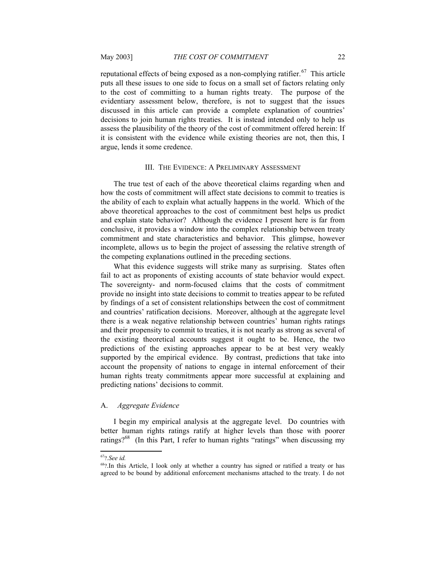reputational effects of being exposed as a non-complying ratifier.<sup>[67](#page-21-2)</sup> This article puts all these issues to one side to focus on a small set of factors relating only to the cost of committing to a human rights treaty. The purpose of the evidentiary assessment below, therefore, is not to suggest that the issues discussed in this article can provide a complete explanation of countries' decisions to join human rights treaties. It is instead intended only to help us assess the plausibility of the theory of the cost of commitment offered herein: If it is consistent with the evidence while existing theories are not, then this, I argue, lends it some credence.

#### <span id="page-21-1"></span>III. THE EVIDENCE: A PRELIMINARY ASSESSMENT

The true test of each of the above theoretical claims regarding when and how the costs of commitment will affect state decisions to commit to treaties is the ability of each to explain what actually happens in the world. Which of the above theoretical approaches to the cost of commitment best helps us predict and explain state behavior? Although the evidence I present here is far from conclusive, it provides a window into the complex relationship between treaty commitment and state characteristics and behavior. This glimpse, however incomplete, allows us to begin the project of assessing the relative strength of the competing explanations outlined in the preceding sections.

What this evidence suggests will strike many as surprising. States often fail to act as proponents of existing accounts of state behavior would expect. The sovereignty- and norm-focused claims that the costs of commitment provide no insight into state decisions to commit to treaties appear to be refuted by findings of a set of consistent relationships between the cost of commitment and countries' ratification decisions. Moreover, although at the aggregate level there is a weak negative relationship between countries' human rights ratings and their propensity to commit to treaties, it is not nearly as strong as several of the existing theoretical accounts suggest it ought to be. Hence, the two predictions of the existing approaches appear to be at best very weakly supported by the empirical evidence. By contrast, predictions that take into account the propensity of nations to engage in internal enforcement of their human rights treaty commitments appear more successful at explaining and predicting nations' decisions to commit.

#### <span id="page-21-0"></span>A. *Aggregate Evidence*

I begin my empirical analysis at the aggregate level. Do countries with better human rights ratings ratify at higher levels than those with poorer ratings?<sup>[68](#page-21-3)</sup> (In this Part, I refer to human rights "ratings" when discussing my

<span id="page-21-2"></span><sup>67</sup>?*.See id.*

<span id="page-21-3"></span><sup>68</sup>?.In this Article, I look only at whether a country has signed or ratified a treaty or has agreed to be bound by additional enforcement mechanisms attached to the treaty. I do not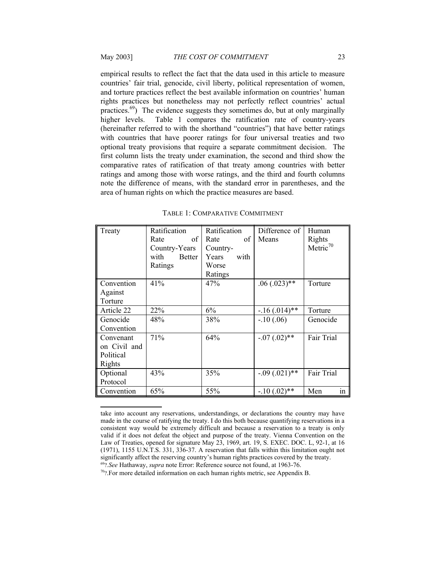empirical results to reflect the fact that the data used in this article to measure countries' fair trial, genocide, civil liberty, political representation of women, and torture practices reflect the best available information on countries' human rights practices but nonetheless may not perfectly reflect countries' actual practices.<sup>[69](#page-22-2)</sup>) The evidence suggests they sometimes do, but at only marginally higher levels. Table 1 compares the ratification rate of country-years (hereinafter referred to with the shorthand "countries") that have better ratings with countries that have poorer ratings for four universal treaties and two optional treaty provisions that require a separate commitment decision. The first column lists the treaty under examination, the second and third show the comparative rates of ratification of that treaty among countries with better ratings and among those with worse ratings, and the third and fourth columns note the difference of means, with the standard error in parentheses, and the area of human rights on which the practice measures are based.

| Treaty       | Ratification   | Ratification  | Difference of        | Human       |
|--------------|----------------|---------------|----------------------|-------------|
|              | of<br>Rate     | of<br>Rate    | Means                | Rights      |
|              | Country-Years  | Country-      |                      | Metric $70$ |
|              | with<br>Better | Years<br>with |                      |             |
|              | Ratings        | Worse         |                      |             |
|              |                | Ratings       |                      |             |
| Convention   | 41%            | 47%           | $.06(.023)$ **       | Torture     |
| Against      |                |               |                      |             |
| Torture      |                |               |                      |             |
| Article 22   | 22%            | 6%            | $-16$ (.014)**       | Torture     |
| Genocide     | 48%            | 38%           | $-.10(.06)$          | Genocide    |
| Convention   |                |               |                      |             |
| Convenant    | 71%            | 64%           | $-0.07$ $(0.02)$ **  | Fair Trial  |
| on Civil and |                |               |                      |             |
| Political    |                |               |                      |             |
| Rights       |                |               |                      |             |
| Optional     | 43%            | 35%           | $-0.09$ $(0.021)$ ** | Fair Trial  |
| Protocol     |                |               |                      |             |
| Convention   | 65%            | 55%           | $-10(.02)$ **        | in<br>Men   |

<span id="page-22-0"></span>

| TABLE 1: COMPARATIVE COMMITMENT |  |
|---------------------------------|--|
|---------------------------------|--|

take into account any reservations, understandings, or declarations the country may have made in the course of ratifying the treaty. I do this both because quantifying reservations in a consistent way would be extremely difficult and because a reservation to a treaty is only valid if it does not defeat the object and purpose of the treaty. Vienna Convention on the Law of Treaties, opened for signature May 23, 1969, art. 19, S. EXEC. DOC. L, 92-1, at 16 (1971), 1155 U.N.T.S. 331, 336-37. A reservation that falls within this limitation ought not significantly affect the reserving country's human rights practices covered by the treaty. <sup>69</sup>?*.See* Hathaway, *supra* note [Error: Reference source not found](#page-22-1), at 1963-76.

<span id="page-22-3"></span><span id="page-22-2"></span><span id="page-22-1"></span><sup>70</sup>?.For more detailed information on each human rights metric, see Appendix B.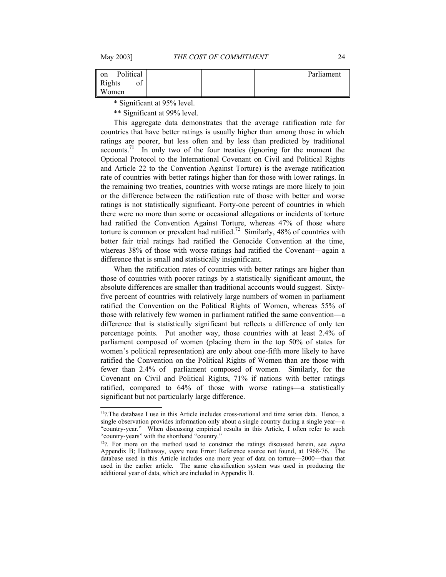| Political                 |  | Parliament |
|---------------------------|--|------------|
| ΟĪ                        |  |            |
| on Pol<br>Rights<br>Women |  |            |

\* Significant at 95% level.

\*\* Significant at 99% level.

This aggregate data demonstrates that the average ratification rate for countries that have better ratings is usually higher than among those in which ratings are poorer, but less often and by less than predicted by traditional accounts.<sup>[71](#page-23-1)</sup> In only two of the four treaties (ignoring for the moment the Optional Protocol to the International Covenant on Civil and Political Rights and Article 22 to the Convention Against Torture) is the average ratification rate of countries with better ratings higher than for those with lower ratings. In the remaining two treaties, countries with worse ratings are more likely to join or the difference between the ratification rate of those with better and worse ratings is not statistically significant. Forty-one percent of countries in which there were no more than some or occasional allegations or incidents of torture had ratified the Convention Against Torture, whereas 47% of those where torture is common or prevalent had ratified.<sup>[72](#page-23-2)</sup> Similarly, 48% of countries with better fair trial ratings had ratified the Genocide Convention at the time, whereas 38% of those with worse ratings had ratified the Covenant—again a difference that is small and statistically insignificant.

When the ratification rates of countries with better ratings are higher than those of countries with poorer ratings by a statistically significant amount, the absolute differences are smaller than traditional accounts would suggest. Sixtyfive percent of countries with relatively large numbers of women in parliament ratified the Convention on the Political Rights of Women, whereas 55% of those with relatively few women in parliament ratified the same convention—a difference that is statistically significant but reflects a difference of only ten percentage points. Put another way, those countries with at least 2.4% of parliament composed of women (placing them in the top 50% of states for women's political representation) are only about one-fifth more likely to have ratified the Convention on the Political Rights of Women than are those with fewer than 2.4% of parliament composed of women. Similarly, for the Covenant on Civil and Political Rights, 71% if nations with better ratings ratified, compared to 64% of those with worse ratings—a statistically significant but not particularly large difference.

<span id="page-23-1"></span> $71$ ?.The database I use in this Article includes cross-national and time series data. Hence, a single observation provides information only about a single country during a single year—a "country-year." When discussing empirical results in this Article, I often refer to such "country-years" with the shorthand "country."

<span id="page-23-2"></span><span id="page-23-0"></span><sup>72</sup>?. For more on the method used to construct the ratings discussed herein, see *supra* Appendix B; Hathaway, *supra* note [Error: Reference source not found](#page-23-0), at 1968-76. The database used in this Article includes one more year of data on torture—2000—than that used in the earlier article. The same classification system was used in producing the additional year of data, which are included in Appendix B.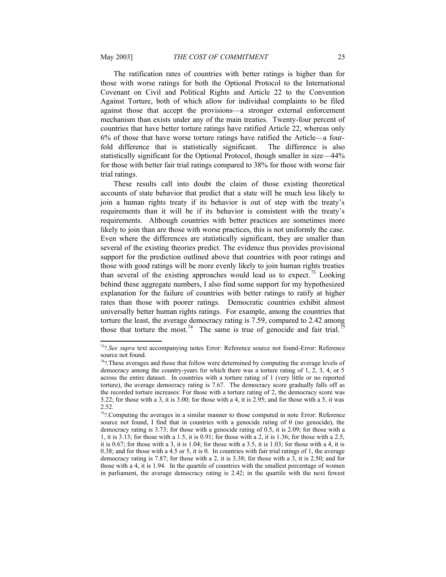The ratification rates of countries with better ratings is higher than for those with worse ratings for both the Optional Protocol to the International Covenant on Civil and Political Rights and Article 22 to the Convention Against Torture, both of which allow for individual complaints to be filed against those that accept the provisions—a stronger external enforcement mechanism than exists under any of the main treaties. Twenty-four percent of countries that have better torture ratings have ratified Article 22, whereas only 6% of those that have worse torture ratings have ratified the Article—a fourfold difference that is statistically significant. The difference is also statistically significant for the Optional Protocol, though smaller in size—44% for those with better fair trial ratings compared to 38% for those with worse fair trial ratings.

These results call into doubt the claim of those existing theoretical accounts of state behavior that predict that a state will be much less likely to join a human rights treaty if its behavior is out of step with the treaty's requirements than it will be if its behavior is consistent with the treaty's requirements. Although countries with better practices are sometimes more likely to join than are those with worse practices, this is not uniformly the case. Even where the differences are statistically significant, they are smaller than several of the existing theories predict. The evidence thus provides provisional support for the prediction outlined above that countries with poor ratings and those with good ratings will be more evenly likely to join human rights treaties than several of the existing approaches would lead us to expect.<sup>[73](#page-24-3)</sup> Looking behind these aggregate numbers, I also find some support for my hypothesized explanation for the failure of countries with better ratings to ratify at higher rates than those with poorer ratings. Democratic countries exhibit almost universally better human rights ratings. For example, among the countries that torture the least, the average democracy rating is 7.59, compared to 2.42 among those that torture the most.<sup>[74](#page-24-4)</sup> The same is true of genocide and fair trial.<sup>[75](#page-24-5)</sup>

<span id="page-24-3"></span><span id="page-24-2"></span><span id="page-24-1"></span><sup>73</sup>?*.See supra* text accompanying notes [Error: Reference source not found-](#page-24-2)[Error: Reference](#page-24-1) [source not found.](#page-24-1)

<span id="page-24-4"></span><sup>74</sup>?.These averages and those that follow were determined by computing the average levels of democracy among the country-years for which there was a torture rating of 1, 2, 3, 4, or 5 across the entire dataset. In countries with a torture rating of 1 (very little or no reported torture), the average democracy rating is 7.67. The democracy score gradually falls off as the recorded torture increases: For those with a torture rating of 2, the democracy score was 5.22; for those with a 3, it is 3.00; for those with a 4, it is 2.95; and for those with a 5, it was 2.52.

<span id="page-24-5"></span><span id="page-24-0"></span><sup>&</sup>lt;sup>75</sup>?.Computing the averages in a similar manner to those computed in note [Error: Reference](#page-24-0) [source not found,](#page-24-0) I find that in countries with a genocide rating of 0 (no genocide), the democracy rating is 3.73; for those with a genocide rating of 0.5, it is 2.09; for those with a 1, it is 3.13; for those with a 1.5, it is 0.91; for those with a 2, it is 1.36; for those with a 2.5, it is 0.67; for those with a 3, it is 1.04; for those with a 3.5, it is 1.03; for those with a 4, it is 0.38; and for those with a 4.5 or 5, it is 0. In countries with fair trial ratings of 1, the average democracy rating is 7.87; for those with a 2, it is 3.38; for those with a 3, it is 2.50; and for those with a 4, it is 1.94. In the quartile of countries with the smallest percentage of women in parliament, the average democracy rating is 2.42; in the quartile with the next fewest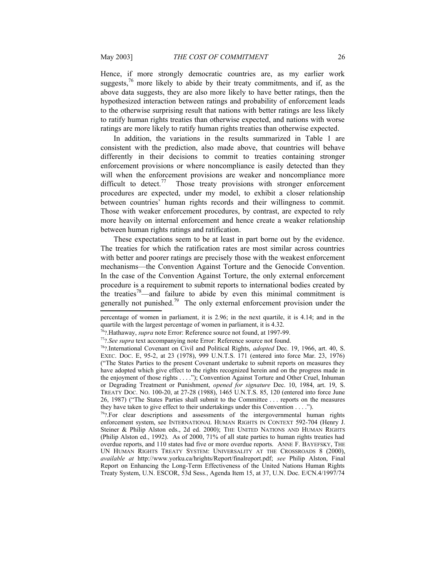Hence, if more strongly democratic countries are, as my earlier work suggests, $^{76}$  $^{76}$  $^{76}$  more likely to abide by their treaty commitments, and if, as the above data suggests, they are also more likely to have better ratings, then the hypothesized interaction between ratings and probability of enforcement leads to the otherwise surprising result that nations with better ratings are less likely to ratify human rights treaties than otherwise expected, and nations with worse ratings are more likely to ratify human rights treaties than otherwise expected.

In addition, the variations in the results summarized in Table 1 are consistent with the prediction, also made above, that countries will behave differently in their decisions to commit to treaties containing stronger enforcement provisions or where noncompliance is easily detected than they will when the enforcement provisions are weaker and noncompliance more difficult to detect.<sup>[77](#page-25-3)</sup> Those treaty provisions with stronger enforcement procedures are expected, under my model, to exhibit a closer relationship between countries' human rights records and their willingness to commit. Those with weaker enforcement procedures, by contrast, are expected to rely more heavily on internal enforcement and hence create a weaker relationship between human rights ratings and ratification.

These expectations seem to be at least in part borne out by the evidence. The treaties for which the ratification rates are most similar across countries with better and poorer ratings are precisely those with the weakest enforcement mechanisms—the Convention Against Torture and the Genocide Convention. In the case of the Convention Against Torture, the only external enforcement procedure is a requirement to submit reports to international bodies created by the treaties<sup>[78](#page-25-4)</sup>—and failure to abide by even this minimal commitment is generally not punished.<sup>[79](#page-25-5)</sup> The only external enforcement provision under the

percentage of women in parliament, it is 2.96; in the next quartile, it is 4.14; and in the quartile with the largest percentage of women in parliament, it is 4.32.

<span id="page-25-2"></span><span id="page-25-1"></span><span id="page-25-0"></span><sup>76</sup>?.Hathaway, *supra* note [Error: Reference source not found,](#page-25-1) at 1997-99.

<span id="page-25-3"></span><sup>77</sup>?*.See supra* text accompanying note [Error: Reference source not found.](#page-25-0)

<span id="page-25-4"></span><sup>78</sup>?.International Covenant on Civil and Political Rights, *adopted* Dec. 19, 1966, art. 40, S. EXEC. DOC. E, 95-2, at 23 (1978), 999 U.N.T.S. 171 (entered into force Mar. 23, 1976) ("The States Parties to the present Covenant undertake to submit reports on measures they have adopted which give effect to the rights recognized herein and on the progress made in the enjoyment of those rights . . . ."); Convention Against Torture and Other Cruel, Inhuman or Degrading Treatment or Punishment, *opened for signature* Dec. 10, 1984, art. 19, S. TREATY DOC. NO. 100-20, at 27-28 (1988), 1465 U.N.T.S. 85, 120 (entered into force June 26, 1987) ("The States Parties shall submit to the Committee . . . reports on the measures they have taken to give effect to their undertakings under this Convention . . . .").

<span id="page-25-5"></span> $79$ ?.For clear descriptions and assessments of the intergovernmental human rights enforcement system, see INTERNATIONAL HUMAN RIGHTS IN CONTEXT 592-704 (Henry J. Steiner & Philip Alston eds., 2d ed. 2000); THE UNITED NATIONS AND HUMAN RIGHTS (Philip Alston ed., 1992). As of 2000, 71% of all state parties to human rights treaties had overdue reports, and 110 states had five or more overdue reports. ANNE F. BAYEFSKY, THE UN HUMAN RIGHTS TREATY SYSTEM: UNIVERSALITY AT THE CROSSROADS 8 (2000), *available at* http://www.yorku.ca/hrights/Report/finalreport.pdf; *see* Philip Alston, Final Report on Enhancing the Long-Term Effectiveness of the United Nations Human Rights Treaty System, U.N. ESCOR, 53d Sess., Agenda Item 15, at 37, U.N. Doc. E/CN.4/1997/74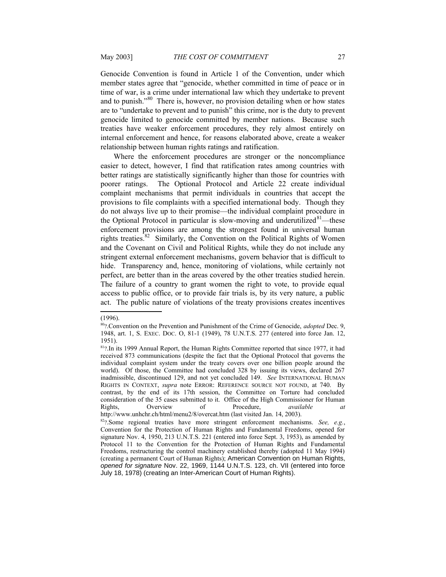Genocide Convention is found in Article 1 of the Convention, under which member states agree that "genocide, whether committed in time of peace or in time of war, is a crime under international law which they undertake to prevent and to punish."[80](#page-26-1) There is, however, no provision detailing when or how states are to "undertake to prevent and to punish" this crime, nor is the duty to prevent genocide limited to genocide committed by member nations. Because such treaties have weaker enforcement procedures, they rely almost entirely on internal enforcement and hence, for reasons elaborated above, create a weaker relationship between human rights ratings and ratification.

Where the enforcement procedures are stronger or the noncompliance easier to detect, however, I find that ratification rates among countries with better ratings are statistically significantly higher than those for countries with poorer ratings. The Optional Protocol and Article 22 create individual complaint mechanisms that permit individuals in countries that accept the provisions to file complaints with a specified international body. Though they do not always live up to their promise—the individual complaint procedure in the Optional Protocol in particular is slow-moving and underutilized $81$ —these enforcement provisions are among the strongest found in universal human rights treaties.<sup>[82](#page-26-3)</sup> Similarly, the Convention on the Political Rights of Women and the Covenant on Civil and Political Rights, while they do not include any stringent external enforcement mechanisms, govern behavior that is difficult to hide. Transparency and, hence, monitoring of violations, while certainly not perfect, are better than in the areas covered by the other treaties studied herein. The failure of a country to grant women the right to vote, to provide equal access to public office, or to provide fair trials is, by its very nature, a public act. The public nature of violations of the treaty provisions creates incentives

<sup>(1996).</sup>

<span id="page-26-1"></span><sup>80</sup>?.Convention on the Prevention and Punishment of the Crime of Genocide, *adopted* Dec. 9, 1948, art. 1, S. EXEC. DOC. O, 81-1 (1949), 78 U.N.T.S. 277 (entered into force Jan. 12, 1951).

<span id="page-26-2"></span><span id="page-26-0"></span><sup>&</sup>lt;sup>81</sup>?.In its 1999 Annual Report, the Human Rights Committee reported that since 1977, it had received 873 communications (despite the fact that the Optional Protocol that governs the individual complaint system under the treaty covers over one billion people around the world). Of those, the Committee had concluded 328 by issuing its views, declared 267 inadmissible, discontinued 129, and not yet concluded 149. *See* INTERNATIONAL HUMAN RIGHTS IN CONTEXT, *supra* note ERROR: R[EFERENCE](#page-26-0) SOURCE NOT FOUND, at 740. By contrast, by the end of its 17th session, the Committee on Torture had concluded consideration of the 35 cases submitted to it. Office of the High Commissioner for Human Rights, Overview of Procedure, *available at* http://www.unhchr.ch/html/menu2/8/overcat.htm (last visited Jan. 14, 2003).

<span id="page-26-3"></span><sup>82</sup>?.Some regional treaties have more stringent enforcement mechanisms. *See, e.g.*, Convention for the Protection of Human Rights and Fundamental Freedoms, opened for signature Nov. 4, 1950, 213 U.N.T.S. 221 (entered into force Sept. 3, 1953), as amended by Protocol 11 to the Convention for the Protection of Human Rights and Fundamental Freedoms, restructuring the control machinery established thereby (adopted 11 May 1994) (creating a permanent Court of Human Rights); American Convention on Human Rights, *opened for signature* Nov. 22, 1969, 1144 U.N.T.S. 123, ch. VII (entered into force July 18, 1978) (creating an Inter-American Court of Human Rights).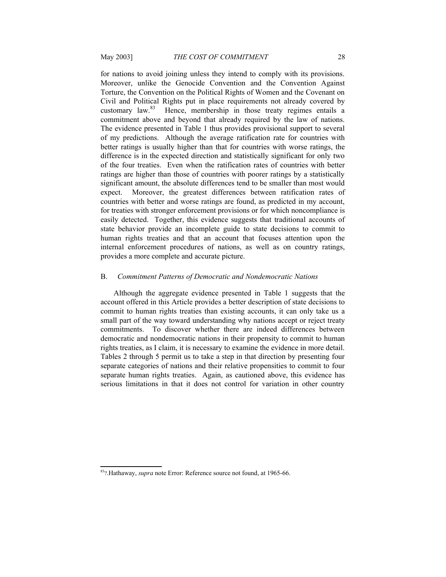for nations to avoid joining unless they intend to comply with its provisions. Moreover, unlike the Genocide Convention and the Convention Against Torture, the Convention on the Political Rights of Women and the Covenant on Civil and Political Rights put in place requirements not already covered by customary law.<sup>[83](#page-27-2)</sup> Hence, membership in those treaty regimes entails a commitment above and beyond that already required by the law of nations. The evidence presented in Table 1 thus provides provisional support to several of my predictions. Although the average ratification rate for countries with better ratings is usually higher than that for countries with worse ratings, the difference is in the expected direction and statistically significant for only two of the four treaties. Even when the ratification rates of countries with better ratings are higher than those of countries with poorer ratings by a statistically significant amount, the absolute differences tend to be smaller than most would expect. Moreover, the greatest differences between ratification rates of countries with better and worse ratings are found, as predicted in my account, for treaties with stronger enforcement provisions or for which noncompliance is easily detected. Together, this evidence suggests that traditional accounts of state behavior provide an incomplete guide to state decisions to commit to human rights treaties and that an account that focuses attention upon the internal enforcement procedures of nations, as well as on country ratings, provides a more complete and accurate picture.

#### <span id="page-27-0"></span>B. *Commitment Patterns of Democratic and Nondemocratic Nations*

Although the aggregate evidence presented in Table 1 suggests that the account offered in this Article provides a better description of state decisions to commit to human rights treaties than existing accounts, it can only take us a small part of the way toward understanding why nations accept or reject treaty commitments. To discover whether there are indeed differences between democratic and nondemocratic nations in their propensity to commit to human rights treaties, as I claim, it is necessary to examine the evidence in more detail. Tables 2 through 5 permit us to take a step in that direction by presenting four separate categories of nations and their relative propensities to commit to four separate human rights treaties. Again, as cautioned above, this evidence has serious limitations in that it does not control for variation in other country

<span id="page-27-2"></span><span id="page-27-1"></span><sup>83</sup>?.Hathaway, *supra* note [Error: Reference source not found,](#page-27-1) at 1965-66.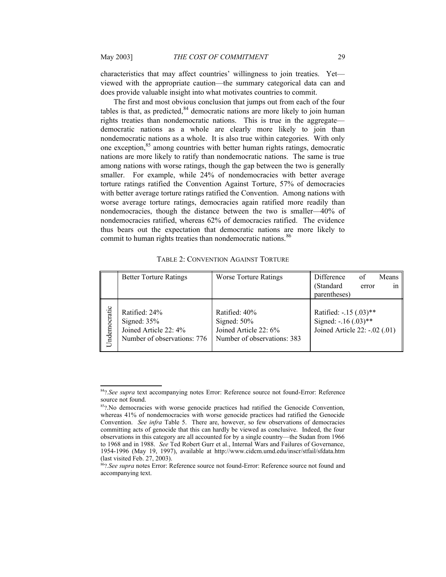characteristics that may affect countries' willingness to join treaties. Yet viewed with the appropriate caution—the summary categorical data can and does provide valuable insight into what motivates countries to commit.

The first and most obvious conclusion that jumps out from each of the four tables is that, as predicted, $84$  democratic nations are more likely to join human rights treaties than nondemocratic nations. This is true in the aggregate democratic nations as a whole are clearly more likely to join than nondemocratic nations as a whole. It is also true within categories. With only one exception,<sup>[85](#page-28-6)</sup> among countries with better human rights ratings, democratic nations are more likely to ratify than nondemocratic nations. The same is true among nations with worse ratings, though the gap between the two is generally smaller. For example, while 24% of nondemocracies with better average torture ratings ratified the Convention Against Torture, 57% of democracies with better average torture ratings ratified the Convention. Among nations with worse average torture ratings, democracies again ratified more readily than nondemocracies, though the distance between the two is smaller—40% of nondemocracies ratified, whereas 62% of democracies ratified. The evidence thus bears out the expectation that democratic nations are more likely to commit to human rights treaties than nondemocratic nations.<sup>[86](#page-28-7)</sup>

<span id="page-28-4"></span><span id="page-28-0"></span>TABLE 2: CONVENTION AGAINST TORTURE

|              | <b>Better Torture Ratings</b>                                                          | <b>Worse Torture Ratings</b>                                                            | Difference                                                                         | of    | Means |
|--------------|----------------------------------------------------------------------------------------|-----------------------------------------------------------------------------------------|------------------------------------------------------------------------------------|-------|-------|
|              |                                                                                        |                                                                                         | (Standard                                                                          | error | 1n    |
|              |                                                                                        |                                                                                         | parentheses)                                                                       |       |       |
| Undemocratic | Ratified: 24%<br>Signed: $35%$<br>Joined Article 22: 4%<br>Number of observations: 776 | Ratified: 40%<br>Signed: $50\%$<br>Joined Article 22: 6%<br>Number of observations: 383 | Ratified: $-0.15$ (.03)**<br>Signed: -.16 (.03)**<br>Joined Article 22: -.02 (.01) |       |       |

<span id="page-28-5"></span><span id="page-28-3"></span><sup>84</sup>?*.See supra* text accompanying notes [Error: Reference source not found-](#page-28-4)[Error: Reference](#page-28-3) [source not found.](#page-28-3)

<span id="page-28-6"></span><sup>&</sup>lt;sup>85</sup>?.No democracies with worse genocide practices had ratified the Genocide Convention, whereas 41% of nondemocracies with worse genocide practices had ratified the Genocide Convention. *See infra* Table 5. There are, however, so few observations of democracies committing acts of genocide that this can hardly be viewed as conclusive. Indeed, the four observations in this category are all accounted for by a single country—the Sudan from 1966 to 1968 and in 1988. *See* Ted Robert Gurr et al., Internal Wars and Failures of Governance, 1954-1996 (May 19, 1997), available at http://www.cidcm.umd.edu/inscr/stfail/sfdata.htm (last visited Feb. 27, 2003).

<span id="page-28-7"></span><span id="page-28-2"></span><span id="page-28-1"></span><sup>86</sup>?*.See supra* notes [Error: Reference source not found](#page-28-2)-[Error: Reference source not found](#page-28-1) and accompanying text.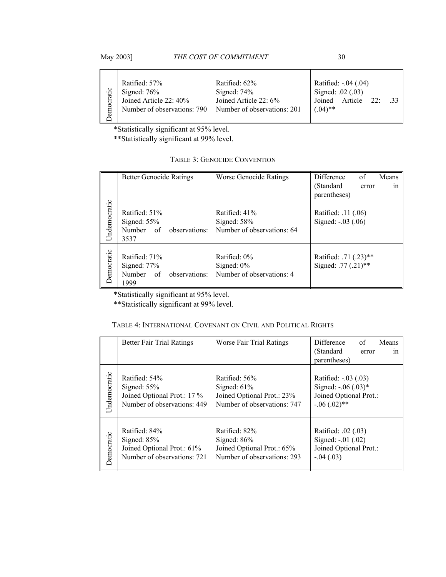|  |  | May 2003] |
|--|--|-----------|
|--|--|-----------|

THE COST OF COMMITMENT 30

| emocratic | Ratified: 57%<br>Signed: $76%$<br>Joined Article 22: 40%<br>Number of observations: 790 | Ratified: 62%<br>Signed: $74%$<br>Joined Article 22: 6%<br>Number of observations: 201 | Ratified: -.04 (.04)<br>Signed: .02 (.03)<br>Article 22:<br>Joined<br>$(.04)$ ** |
|-----------|-----------------------------------------------------------------------------------------|----------------------------------------------------------------------------------------|----------------------------------------------------------------------------------|

\*Statistically significant at 95% level.

\*\*Statistically significant at 99% level.

<span id="page-29-1"></span>

|              | <b>Better Genocide Ratings</b>                                          | <b>Worse Genocide Ratings</b>                                | Difference<br>of<br>Means<br>(Standard<br>error<br><sub>1</sub> n<br>parentheses) |
|--------------|-------------------------------------------------------------------------|--------------------------------------------------------------|-----------------------------------------------------------------------------------|
| Undemocratic | Ratified: 51%<br>Signed: $55%$<br>Number of<br>observations:<br>3537    | Ratified: 41%<br>Signed: $58%$<br>Number of observations: 64 | Ratified: .11 (.06)<br>Signed: -.03 (.06)                                         |
| Democratic   | Ratified: 71%<br>Signed: $77%$<br>Number<br>of<br>observations:<br>1999 | Ratified: 0%<br>Signed: $0\%$<br>Number of observations: 4   | Ratified: .71 (.23)**<br>Signed: .77 (.21)**                                      |

\*Statistically significant at 95% level.

\*\*Statistically significant at 99% level.

# <span id="page-29-0"></span>TABLE 4: INTERNATIONAL COVENANT ON CIVIL AND POLITICAL RIGHTS

|              | <b>Better Fair Trial Ratings</b> | Worse Fair Trial Ratings    | Difference<br>of<br>Means<br>(Standard<br>1n<br>error<br>parentheses) |
|--------------|----------------------------------|-----------------------------|-----------------------------------------------------------------------|
| Undemocratic | Ratified: 54%                    | Ratified: 56%               | Ratified: -.03 (.03)                                                  |
|              | Signed: $55%$                    | Signed: $61\%$              | Signed: $-0.06$ $(0.03)*$                                             |
|              | Joined Optional Prot.: 17 %      | Joined Optional Prot.: 23%  | Joined Optional Prot.:                                                |
|              | Number of observations: 449      | Number of observations: 747 | $-0.06$ $(0.02)$ **                                                   |
| Democratic   | Ratified: 84%                    | Ratified: 82%               | Ratified: .02 (.03)                                                   |
|              | Signed: $85%$                    | Signed: $86%$               | Signed: -.01 (.02)                                                    |
|              | Joined Optional Prot.: 61%       | Joined Optional Prot.: 65%  | Joined Optional Prot.:                                                |
|              | Number of observations: 721      | Number of observations: 293 | $-.04(.03)$                                                           |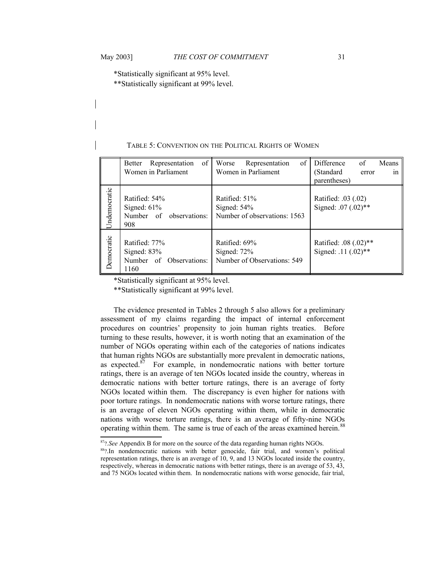\*Statistically significant at 95% level.

\*\*Statistically significant at 99% level.

## <span id="page-30-0"></span>TABLE 5: CONVENTION ON THE POLITICAL RIGHTS OF WOMEN

|              | of<br>Representation<br>Better<br>Women in Parliament             | of<br>Worse<br>Representation<br>Women in Parliament           | Difference<br>of<br>Means<br>(Standard<br>in<br>error<br>parentheses) |
|--------------|-------------------------------------------------------------------|----------------------------------------------------------------|-----------------------------------------------------------------------|
| Undemocratic | Ratified: 54%<br>Signed: $61\%$<br>Number of observations:<br>908 | Ratified: 51%<br>Signed: $54%$<br>Number of observations: 1563 | Ratified: .03 (.02)<br>Signed: .07 (.02)**                            |
| Democratic   | Ratified: 77%<br>Signed: $83%$<br>Number of Observations:<br>1160 | Ratified: 69%<br>Signed: $72%$<br>Number of Observations: 549  | Ratified: .08 (.02)**<br>Signed: .11 (.02)**                          |

\*Statistically significant at 95% level.

\*\*Statistically significant at 99% level.

The evidence presented in Tables 2 through 5 also allows for a preliminary assessment of my claims regarding the impact of internal enforcement procedures on countries' propensity to join human rights treaties. Before turning to these results, however, it is worth noting that an examination of the number of NGOs operating within each of the categories of nations indicates that human rights NGOs are substantially more prevalent in democratic nations, as expected. $87$  For example, in nondemocratic nations with better torture ratings, there is an average of ten NGOs located inside the country, whereas in democratic nations with better torture ratings, there is an average of forty NGOs located within them. The discrepancy is even higher for nations with poor torture ratings. In nondemocratic nations with worse torture ratings, there is an average of eleven NGOs operating within them, while in democratic nations with worse torture ratings, there is an average of fifty-nine NGOs operating within them. The same is true of each of the areas examined herein.<sup>[88](#page-30-2)</sup>

<span id="page-30-1"></span><sup>87</sup>?*.See* Appendix B for more on the source of the data regarding human rights NGOs.

<span id="page-30-2"></span><sup>88?.</sup>In nondemocratic nations with better genocide, fair trial, and women's political representation ratings, there is an average of 10, 9, and 13 NGOs located inside the country, respectively, whereas in democratic nations with better ratings, there is an average of 53, 43, and 75 NGOs located within them. In nondemocratic nations with worse genocide, fair trial,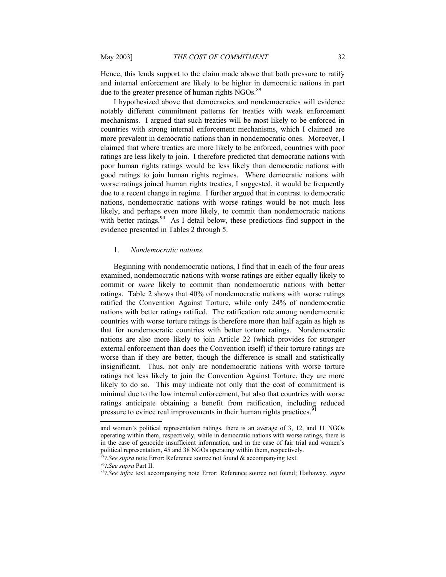Hence, this lends support to the claim made above that both pressure to ratify and internal enforcement are likely to be higher in democratic nations in part due to the greater presence of human rights NGOs.<sup>[89](#page-31-3)</sup>

I hypothesized above that democracies and nondemocracies will evidence notably different commitment patterns for treaties with weak enforcement mechanisms. I argued that such treaties will be most likely to be enforced in countries with strong internal enforcement mechanisms, which I claimed are more prevalent in democratic nations than in nondemocratic ones. Moreover, I claimed that where treaties are more likely to be enforced, countries with poor ratings are less likely to join. I therefore predicted that democratic nations with poor human rights ratings would be less likely than democratic nations with good ratings to join human rights regimes. Where democratic nations with worse ratings joined human rights treaties, I suggested, it would be frequently due to a recent change in regime. I further argued that in contrast to democratic nations, nondemocratic nations with worse ratings would be not much less likely, and perhaps even more likely, to commit than nondemocratic nations with better ratings.<sup>[90](#page-31-4)</sup> As I detail below, these predictions find support in the evidence presented in Tables 2 through 5.

#### <span id="page-31-0"></span>1. *Nondemocratic nations.*

Beginning with nondemocratic nations, I find that in each of the four areas examined, nondemocratic nations with worse ratings are either equally likely to commit or *more* likely to commit than nondemocratic nations with better ratings. Table 2 shows that 40% of nondemocratic nations with worse ratings ratified the Convention Against Torture, while only 24% of nondemocratic nations with better ratings ratified. The ratification rate among nondemocratic countries with worse torture ratings is therefore more than half again as high as that for nondemocratic countries with better torture ratings. Nondemocratic nations are also more likely to join Article 22 (which provides for stronger external enforcement than does the Convention itself) if their torture ratings are worse than if they are better, though the difference is small and statistically insignificant. Thus, not only are nondemocratic nations with worse torture ratings not less likely to join the Convention Against Torture, they are more likely to do so. This may indicate not only that the cost of commitment is minimal due to the low internal enforcement, but also that countries with worse ratings anticipate obtaining a benefit from ratification, including reduced pressure to evince real improvements in their human rights practices.<sup>[91](#page-31-5)</sup>

and women's political representation ratings, there is an average of 3, 12, and 11 NGOs operating within them, respectively, while in democratic nations with worse ratings, there is in the case of genocide insufficient information, and in the case of fair trial and women's political representation, 45 and 38 NGOs operating within them, respectively.

<span id="page-31-3"></span><span id="page-31-2"></span><span id="page-31-1"></span><sup>89</sup>?*.See supra* note [Error: Reference source not found](#page-31-2) & accompanying text.

<span id="page-31-4"></span><sup>90</sup>?*.See supra* Part II.

<span id="page-31-5"></span><sup>91</sup>?*.See infra* text accompanying note [Error: Reference source not found](#page-31-1); Hathaway, *supra*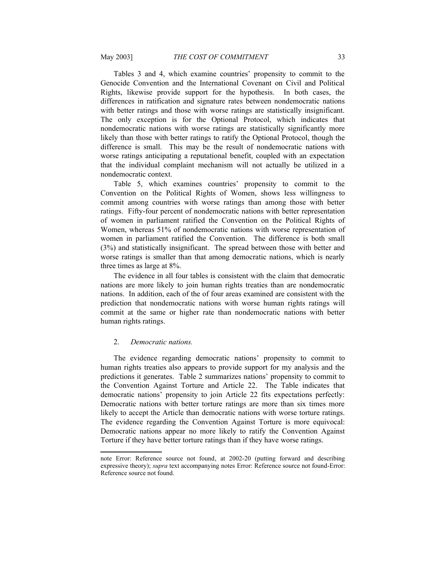Tables 3 and 4, which examine countries' propensity to commit to the Genocide Convention and the International Covenant on Civil and Political Rights, likewise provide support for the hypothesis. In both cases, the differences in ratification and signature rates between nondemocratic nations with better ratings and those with worse ratings are statistically insignificant. The only exception is for the Optional Protocol, which indicates that nondemocratic nations with worse ratings are statistically significantly more likely than those with better ratings to ratify the Optional Protocol, though the difference is small. This may be the result of nondemocratic nations with worse ratings anticipating a reputational benefit, coupled with an expectation that the individual complaint mechanism will not actually be utilized in a nondemocratic context.

Table 5, which examines countries' propensity to commit to the Convention on the Political Rights of Women, shows less willingness to commit among countries with worse ratings than among those with better ratings. Fifty-four percent of nondemocratic nations with better representation of women in parliament ratified the Convention on the Political Rights of Women, whereas 51% of nondemocratic nations with worse representation of women in parliament ratified the Convention. The difference is both small (3%) and statistically insignificant. The spread between those with better and worse ratings is smaller than that among democratic nations, which is nearly three times as large at 8%.

The evidence in all four tables is consistent with the claim that democratic nations are more likely to join human rights treaties than are nondemocratic nations. In addition, each of the of four areas examined are consistent with the prediction that nondemocratic nations with worse human rights ratings will commit at the same or higher rate than nondemocratic nations with better human rights ratings.

## <span id="page-32-0"></span>2. *Democratic nations.*

The evidence regarding democratic nations' propensity to commit to human rights treaties also appears to provide support for my analysis and the predictions it generates. Table 2 summarizes nations' propensity to commit to the Convention Against Torture and Article 22. The Table indicates that democratic nations' propensity to join Article 22 fits expectations perfectly: Democratic nations with better torture ratings are more than six times more likely to accept the Article than democratic nations with worse torture ratings. The evidence regarding the Convention Against Torture is more equivocal: Democratic nations appear no more likely to ratify the Convention Against Torture if they have better torture ratings than if they have worse ratings.

<span id="page-32-3"></span><span id="page-32-2"></span><span id="page-32-1"></span>note [Error: Reference source not found](#page-32-3), at 2002-20 (putting forward and describing expressive theory); *supra* text accompanying notes [Error: Reference source not found](#page-32-2)[-Error:](#page-32-1) [Reference source not found](#page-32-1).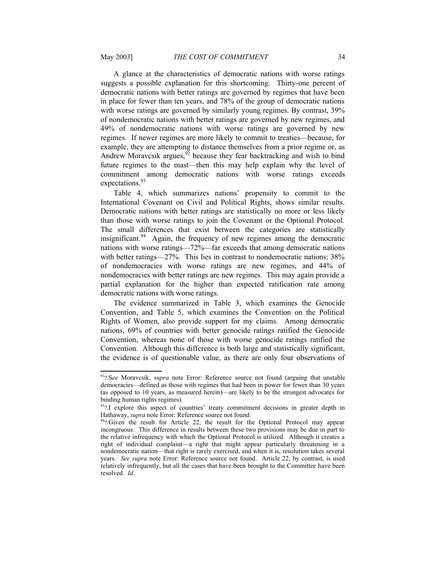A glance at the characteristics of democratic nations with worse ratings suggests a possible explanation for this shortcoming. Thirty-one percent of democratic nations with better ratings are governed by regimes that have been in place for fewer than ten years, and 78% of the group of democratic nations with worse ratings are governed by similarly young regimes. By contrast,  $39\%$ of nondemocratic nations with better ratings are governed by new regimes, and 49% of nondemocratic nations with worse ratings are governed by new regimes. If newer regimes are more likely to commit to treaties—because, for example, they are attempting to distance themselves from a prior regime or, as Andrew Moravcsik argues,  $\frac{92}{2}$  $\frac{92}{2}$  $\frac{92}{2}$  because they fear backtracking and wish to bind future regimes to the mast—then this may help explain why the level of commitment among democratic nations with worse ratings exceeds expectations.<sup>[93](#page-33-4)</sup>

Table 4, which summarizes nations' propensity to commit to the International Covenant on Civil and Political Rights, shows similar results. Democratic nations with better ratings are statistically no more or less likely than those with worse ratings to join the Covenant or the Optional Protocol. The small differences that exist between the categories are statistically insignificant.<sup>[94](#page-33-5)</sup> Again, the frequency of new regimes among the democratic nations with worse ratings—72%—far exceeds that among democratic nations with better ratings—27%. This lies in contrast to nondemocratic nations:  $38\%$ of nondemocracies with worse ratings are new regimes, and 44% of nondemocracies with better ratings are new regimes. This may again provide a partial explanation for the higher than expected ratification rate among democratic nations with worse ratings.

The evidence summarized in Table 3, which examines the Genocide Convention, and Table 5, which examines the Convention on the Political Rights of Women, also provide support for my claims. Among democratic nations, 69% of countries with better genocide ratings ratified the Genocide Convention, whereas none of those with worse genocide ratings ratified the Convention. Although this difference is both large and statistically significant, the evidence is of questionable value, as there are only four observations of

<span id="page-33-3"></span><span id="page-33-2"></span><sup>92</sup>?.S*ee* Moravcsik, *supra* note [Error: Reference source not found](#page-33-2) (arguing that unstable democracies—defined as those with regimes that had been in power for fewer than 30 years (as opposed to 10 years, as measured herein)—are likely to be the strongest advocates for binding human rights regimes).

<span id="page-33-4"></span><span id="page-33-1"></span> $93$ ?.I explore this aspect of countries' treaty commitment decisions in greater depth in Hathaway, *supra* note [Error: Reference source not found.](#page-33-1)

<span id="page-33-5"></span><span id="page-33-0"></span><sup>&</sup>lt;sup>94</sup>?.Given the result for Article 22, the result for the Optional Protocol may appear incongruous. This difference in results between these two provisions may be due in part to the relative infrequency with which the Optional Protocol is utilized. Although it creates a right of individual complaint—a right that might appear particularly threatening in a nondemocratic nation—that right is rarely exercised, and when it is, resolution takes several years. *See supra* note [Error: Reference source not found.](#page-33-0) Article 22, by contrast, is used relatively infrequently, but all the cases that have been brought to the Committee have been resolved. *Id*.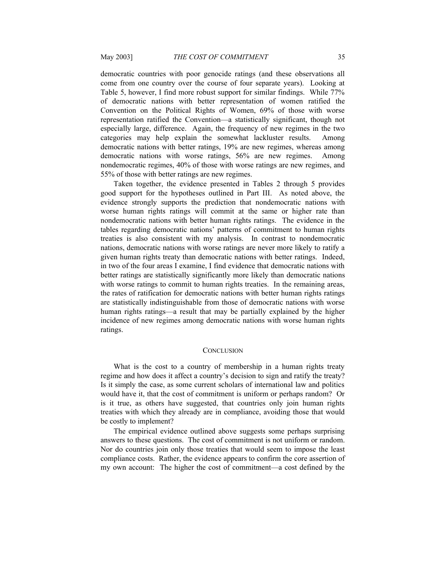democratic countries with poor genocide ratings (and these observations all come from one country over the course of four separate years). Looking at Table 5, however, I find more robust support for similar findings. While 77% of democratic nations with better representation of women ratified the Convention on the Political Rights of Women, 69% of those with worse representation ratified the Convention—a statistically significant, though not especially large, difference. Again, the frequency of new regimes in the two categories may help explain the somewhat lackluster results. Among democratic nations with better ratings, 19% are new regimes, whereas among democratic nations with worse ratings, 56% are new regimes. Among nondemocratic regimes, 40% of those with worse ratings are new regimes, and 55% of those with better ratings are new regimes.

Taken together, the evidence presented in Tables 2 through 5 provides good support for the hypotheses outlined in Part III. As noted above, the evidence strongly supports the prediction that nondemocratic nations with worse human rights ratings will commit at the same or higher rate than nondemocratic nations with better human rights ratings. The evidence in the tables regarding democratic nations' patterns of commitment to human rights treaties is also consistent with my analysis. In contrast to nondemocratic nations, democratic nations with worse ratings are never more likely to ratify a given human rights treaty than democratic nations with better ratings. Indeed, in two of the four areas I examine, I find evidence that democratic nations with better ratings are statistically significantly more likely than democratic nations with worse ratings to commit to human rights treaties. In the remaining areas, the rates of ratification for democratic nations with better human rights ratings are statistically indistinguishable from those of democratic nations with worse human rights ratings—a result that may be partially explained by the higher incidence of new regimes among democratic nations with worse human rights ratings.

#### <span id="page-34-0"></span>**CONCLUSION**

What is the cost to a country of membership in a human rights treaty regime and how does it affect a country's decision to sign and ratify the treaty? Is it simply the case, as some current scholars of international law and politics would have it, that the cost of commitment is uniform or perhaps random? Or is it true, as others have suggested, that countries only join human rights treaties with which they already are in compliance, avoiding those that would be costly to implement?

The empirical evidence outlined above suggests some perhaps surprising answers to these questions. The cost of commitment is not uniform or random. Nor do countries join only those treaties that would seem to impose the least compliance costs. Rather, the evidence appears to confirm the core assertion of my own account: The higher the cost of commitment—a cost defined by the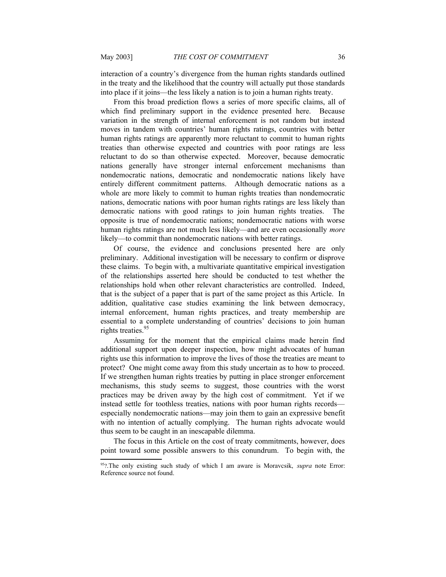interaction of a country's divergence from the human rights standards outlined in the treaty and the likelihood that the country will actually put those standards into place if it joins—the less likely a nation is to join a human rights treaty.

From this broad prediction flows a series of more specific claims, all of which find preliminary support in the evidence presented here. Because variation in the strength of internal enforcement is not random but instead moves in tandem with countries' human rights ratings, countries with better human rights ratings are apparently more reluctant to commit to human rights treaties than otherwise expected and countries with poor ratings are less reluctant to do so than otherwise expected. Moreover, because democratic nations generally have stronger internal enforcement mechanisms than nondemocratic nations, democratic and nondemocratic nations likely have entirely different commitment patterns. Although democratic nations as a whole are more likely to commit to human rights treaties than nondemocratic nations, democratic nations with poor human rights ratings are less likely than democratic nations with good ratings to join human rights treaties. The opposite is true of nondemocratic nations; nondemocratic nations with worse human rights ratings are not much less likely—and are even occasionally *more* likely—to commit than nondemocratic nations with better ratings.

Of course, the evidence and conclusions presented here are only preliminary. Additional investigation will be necessary to confirm or disprove these claims. To begin with, a multivariate quantitative empirical investigation of the relationships asserted here should be conducted to test whether the relationships hold when other relevant characteristics are controlled. Indeed, that is the subject of a paper that is part of the same project as this Article. In addition, qualitative case studies examining the link between democracy, internal enforcement, human rights practices, and treaty membership are essential to a complete understanding of countries' decisions to join human rights treaties.<sup>[95](#page-35-1)</sup>

Assuming for the moment that the empirical claims made herein find additional support upon deeper inspection, how might advocates of human rights use this information to improve the lives of those the treaties are meant to protect? One might come away from this study uncertain as to how to proceed. If we strengthen human rights treaties by putting in place stronger enforcement mechanisms, this study seems to suggest, those countries with the worst practices may be driven away by the high cost of commitment. Yet if we instead settle for toothless treaties, nations with poor human rights records especially nondemocratic nations—may join them to gain an expressive benefit with no intention of actually complying. The human rights advocate would thus seem to be caught in an inescapable dilemma.

The focus in this Article on the cost of treaty commitments, however, does point toward some possible answers to this conundrum. To begin with, the

<span id="page-35-1"></span><span id="page-35-0"></span><sup>&</sup>lt;sup>95</sup>?.The only existing such study of which I am aware is Moravcsik, *supra* note [Error:](#page-35-0) [Reference source not found](#page-35-0).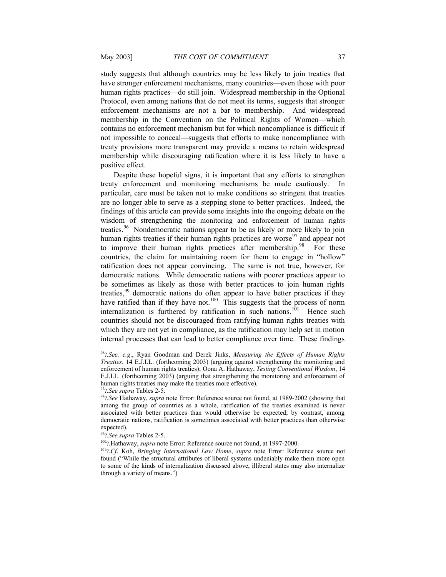study suggests that although countries may be less likely to join treaties that have stronger enforcement mechanisms, many countries—even those with poor human rights practices—do still join. Widespread membership in the Optional Protocol, even among nations that do not meet its terms, suggests that stronger enforcement mechanisms are not a bar to membership. And widespread membership in the Convention on the Political Rights of Women—which contains no enforcement mechanism but for which noncompliance is difficult if not impossible to conceal—suggests that efforts to make noncompliance with treaty provisions more transparent may provide a means to retain widespread membership while discouraging ratification where it is less likely to have a positive effect.

Despite these hopeful signs, it is important that any efforts to strengthen treaty enforcement and monitoring mechanisms be made cautiously. In particular, care must be taken not to make conditions so stringent that treaties are no longer able to serve as a stepping stone to better practices. Indeed, the findings of this article can provide some insights into the ongoing debate on the wisdom of strengthening the monitoring and enforcement of human rights treaties.<sup>[96](#page-36-3)</sup> Nondemocratic nations appear to be as likely or more likely to join human rights treaties if their human rights practices are worse $97$  and appear not to improve their human rights practices after membership. $98$  For these countries, the claim for maintaining room for them to engage in "hollow" ratification does not appear convincing. The same is not true, however, for democratic nations. While democratic nations with poorer practices appear to be sometimes as likely as those with better practices to join human rights treaties,<sup>[99](#page-36-6)</sup> democratic nations do often appear to have better practices if they have ratified than if they have not.<sup>[100](#page-36-7)</sup> This suggests that the process of norm internalization is furthered by ratification in such nations.<sup>[101](#page-36-8)</sup> Hence such countries should not be discouraged from ratifying human rights treaties with which they are not yet in compliance, as the ratification may help set in motion internal processes that can lead to better compliance over time. These findings

<span id="page-36-3"></span><sup>96</sup>?*.See, e.g*., Ryan Goodman and Derek Jinks, *Measuring the Effects of Human Rights Treaties*, 14 E.J.I.L. (forthcoming 2003) (arguing against strengthening the monitoring and enforcement of human rights treaties); Oona A. Hathaway, *Testing Conventional Wisdom*, 14 E.J.I.L. (forthcoming 2003) (arguing that strengthening the monitoring and enforcement of human rights treaties may make the treaties more effective).

<span id="page-36-4"></span><sup>97</sup>?*.See supra* Tables 2-5.

<span id="page-36-5"></span><span id="page-36-2"></span><sup>98</sup>?*.See* Hathaway, *supra* note [Error: Reference source not found,](#page-36-2) at 1989-2002 (showing that among the group of countries as a whole, ratification of the treaties examined is never associated with better practices than would otherwise be expected; by contrast, among democratic nations, ratification is sometimes associated with better practices than otherwise expected).

<span id="page-36-6"></span><sup>99</sup>?*.See supra* Tables 2-5.

<span id="page-36-7"></span><span id="page-36-1"></span><sup>100</sup>?.Hathaway, *supra* note [Error: Reference source not found](#page-36-1), at 1997-2000.

<span id="page-36-8"></span><span id="page-36-0"></span><sup>101</sup>?*.Cf*. Koh, *Bringing International Law Home*, *supra* note [Error: Reference source not](#page-36-0) [found](#page-36-0) ("While the structural attributes of liberal systems undeniably make them more open to some of the kinds of internalization discussed above, illiberal states may also internalize through a variety of means.")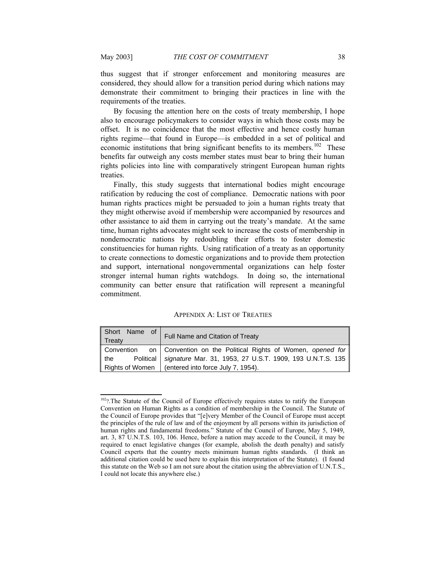thus suggest that if stronger enforcement and monitoring measures are considered, they should allow for a transition period during which nations may demonstrate their commitment to bringing their practices in line with the requirements of the treaties.

By focusing the attention here on the costs of treaty membership, I hope also to encourage policymakers to consider ways in which those costs may be offset. It is no coincidence that the most effective and hence costly human rights regime—that found in Europe—is embedded in a set of political and economic institutions that bring significant benefits to its members.<sup>[102](#page-37-1)</sup> These benefits far outweigh any costs member states must bear to bring their human rights policies into line with comparatively stringent European human rights treaties.

Finally, this study suggests that international bodies might encourage ratification by reducing the cost of compliance. Democratic nations with poor human rights practices might be persuaded to join a human rights treaty that they might otherwise avoid if membership were accompanied by resources and other assistance to aid them in carrying out the treaty's mandate. At the same time, human rights advocates might seek to increase the costs of membership in nondemocratic nations by redoubling their efforts to foster domestic constituencies for human rights. Using ratification of a treaty as an opportunity to create connections to domestic organizations and to provide them protection and support, international nongovernmental organizations can help foster stronger internal human rights watchdogs. In doing so, the international community can better ensure that ratification will represent a meaningful commitment.

<span id="page-37-0"></span>

| <b>APPENDIX A: LIST OF TREATIES</b> |  |  |  |  |
|-------------------------------------|--|--|--|--|
|-------------------------------------|--|--|--|--|

| Short Name of<br>$\parallel$ Treaty | Full Name and Citation of Treaty                                        |  |
|-------------------------------------|-------------------------------------------------------------------------|--|
|                                     | Convention on   Convention on the Political Rights of Women, opened for |  |
| $\parallel$ the                     | Political   signature Mar. 31, 1953, 27 U.S.T. 1909, 193 U.N.T.S. 135   |  |
| Rights of Women                     | (entered into force July 7, 1954).                                      |  |

<span id="page-37-1"></span><sup>&</sup>lt;sup>102</sup>?.The Statute of the Council of Europe effectively requires states to ratify the European Convention on Human Rights as a condition of membership in the Council. The Statute of the Council of Europe provides that "[e]very Member of the Council of Europe must accept the principles of the rule of law and of the enjoyment by all persons within its jurisdiction of human rights and fundamental freedoms." Statute of the Council of Europe, May 5, 1949, art. 3, 87 U.N.T.S. 103, 106. Hence, before a nation may accede to the Council, it may be required to enact legislative changes (for example, abolish the death penalty) and satisfy Council experts that the country meets minimum human rights standards. (I think an additional citation could be used here to explain this interpretation of the Statute). (I found this statute on the Web so I am not sure about the citation using the abbreviation of U.N.T.S., I could not locate this anywhere else.)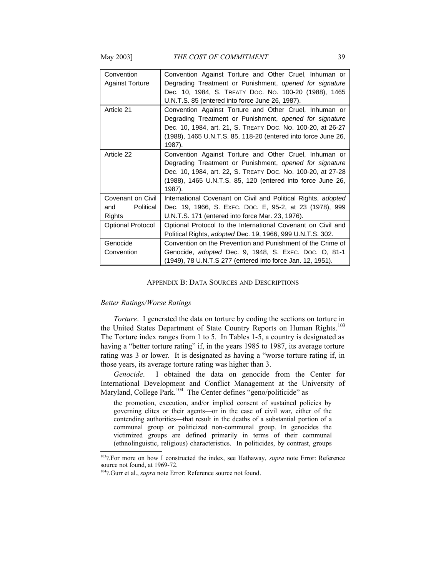| Convention<br><b>Against Torture</b>            | Convention Against Torture and Other Cruel, Inhuman or<br>Degrading Treatment or Punishment, opened for signature<br>Dec. 10, 1984, S. TREATY DOC. NO. 100-20 (1988), 1465<br>U.N.T.S. 85 (entered into force June 26, 1987).                               |
|-------------------------------------------------|-------------------------------------------------------------------------------------------------------------------------------------------------------------------------------------------------------------------------------------------------------------|
| Article 21                                      | Convention Against Torture and Other Cruel, Inhuman or<br>Degrading Treatment or Punishment, opened for signature<br>Dec. 10, 1984, art. 21, S. TREATY DOC. No. 100-20, at 26-27<br>(1988), 1465 U.N.T.S. 85, 118-20 (entered into force June 26,<br>1987). |
| Article 22                                      | Convention Against Torture and Other Cruel, Inhuman or<br>Degrading Treatment or Punishment, opened for signature<br>Dec. 10, 1984, art. 22, S. TREATY DOC. No. 100-20, at 27-28<br>(1988), 1465 U.N.T.S. 85, 120 (entered into force June 26,<br>1987).    |
| Covenant on Civil<br>Political<br>and<br>Rights | International Covenant on Civil and Political Rights, adopted<br>Dec. 19, 1966, S. Exec. Doc. E, 95-2, at 23 (1978), 999<br>U.N.T.S. 171 (entered into force Mar. 23, 1976).                                                                                |
| <b>Optional Protocol</b>                        | Optional Protocol to the International Covenant on Civil and<br>Political Rights, adopted Dec. 19, 1966, 999 U.N.T.S. 302.                                                                                                                                  |
| Genocide<br>Convention                          | Convention on the Prevention and Punishment of the Crime of<br>Genocide, adopted Dec. 9, 1948, S. Exec. Doc. O, 81-1<br>(1949), 78 U.N.T.S 277 (entered into force Jan. 12, 1951).                                                                          |

#### <span id="page-38-0"></span>APPENDIX B: DATA SOURCES AND DESCRIPTIONS

#### *Better Ratings/Worse Ratings*

*Torture*. I generated the data on torture by coding the sections on torture in the United States Department of State Country Reports on Human Rights.<sup>[103](#page-38-3)</sup> The Torture index ranges from 1 to 5. In Tables 1-5, a country is designated as having a "better torture rating" if, in the years 1985 to 1987, its average torture rating was 3 or lower. It is designated as having a "worse torture rating if, in those years, its average torture rating was higher than 3.

*Genocide*. I obtained the data on genocide from the Center for International Development and Conflict Management at the University of Maryland, College Park.<sup>[104](#page-38-4)</sup> The Center defines "geno/politicide" as

the promotion, execution, and/or implied consent of sustained policies by governing elites or their agents—or in the case of civil war, either of the contending authorities—that result in the deaths of a substantial portion of a communal group or politicized non-communal group. In genocides the victimized groups are defined primarily in terms of their communal (ethnolinguistic, religious) characteristics. In politicides, by contrast, groups

<span id="page-38-3"></span><sup>103</sup>?.For more on how I constructed the index, see Hathaway, *supra* note [Error: Reference](#page-38-2) [source not found,](#page-38-2) at 1969-72.

<span id="page-38-4"></span><span id="page-38-2"></span><span id="page-38-1"></span><sup>104</sup>?.Gurr et al., *supra* note [Error: Reference source not found](#page-38-1).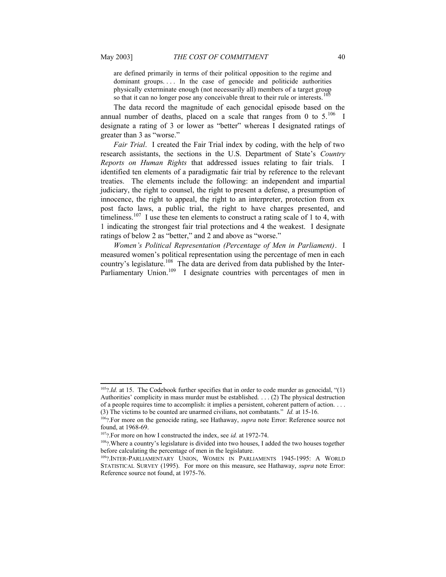are defined primarily in terms of their political opposition to the regime and dominant groups.... In the case of genocide and politicide authorities physically exterminate enough (not necessarily all) members of a target group so that it can no longer pose any conceivable threat to their rule or interests.

The data record the magnitude of each genocidal episode based on the annual number of deaths, placed on a scale that ranges from 0 to  $5.^{106}$  $5.^{106}$  $5.^{106}$  I designate a rating of 3 or lower as "better" whereas I designated ratings of greater than 3 as "worse."

*Fair Trial*. I created the Fair Trial index by coding, with the help of two research assistants, the sections in the U.S. Department of State's *Country Reports on Human Rights* that addressed issues relating to fair trials. I identified ten elements of a paradigmatic fair trial by reference to the relevant treaties. The elements include the following: an independent and impartial judiciary, the right to counsel, the right to present a defense, a presumption of innocence, the right to appeal, the right to an interpreter, protection from ex post facto laws, a public trial, the right to have charges presented, and timeliness.<sup>[107](#page-39-4)</sup> I use these ten elements to construct a rating scale of 1 to 4, with 1 indicating the strongest fair trial protections and 4 the weakest. I designate ratings of below 2 as "better," and 2 and above as "worse."

*Women's Political Representation (Percentage of Men in Parliament)*. I measured women's political representation using the percentage of men in each country's legislature.<sup>[108](#page-39-5)</sup> The data are derived from data published by the Inter-Parliamentary Union.<sup>[109](#page-39-6)</sup> I designate countries with percentages of men in

<span id="page-39-2"></span><sup>&</sup>lt;sup>105</sup>?*.Id.* at 15. The Codebook further specifies that in order to code murder as genocidal, "(1) Authorities' complicity in mass murder must be established. . . . (2) The physical destruction of a people requires time to accomplish: it implies a persistent, coherent pattern of action. . . . (3) The victims to be counted are unarmed civilians, not combatants." *Id.* at 15-16.

<span id="page-39-3"></span><span id="page-39-1"></span><sup>106</sup>?.For more on the genocide rating, see Hathaway, *supra* note [Error: Reference source not](#page-39-1) [found](#page-39-1), at 1968-69.

<span id="page-39-4"></span><sup>107</sup>?.For more on how I constructed the index, see *id.* at 1972-74.

<span id="page-39-5"></span><sup>&</sup>lt;sup>108</sup>?.Where a country's legislature is divided into two houses, I added the two houses together before calculating the percentage of men in the legislature.

<span id="page-39-6"></span><span id="page-39-0"></span><sup>109</sup>?.INTER-PARLIAMENTARY UNION, WOMEN IN PARLIAMENTS 1945-1995: A WORLD STATISTICAL SURVEY (1995). For more on this measure, see Hathaway, *supra* note [Error:](#page-39-0) [Reference source not found](#page-39-0), at 1975-76.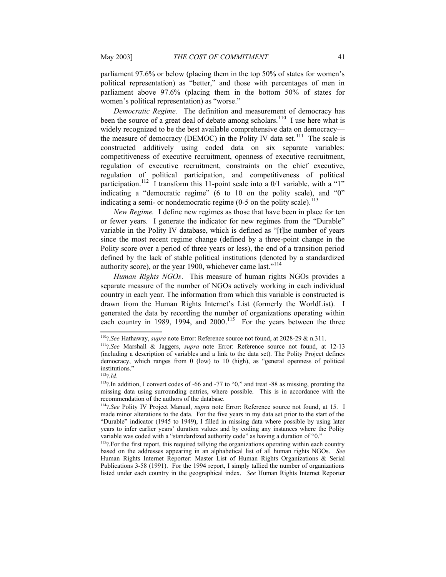parliament 97.6% or below (placing them in the top 50% of states for women's political representation) as "better," and those with percentages of men in parliament above 97.6% (placing them in the bottom 50% of states for women's political representation) as "worse."

*Democratic Regime.* The definition and measurement of democracy has been the source of a great deal of debate among scholars.<sup>[110](#page-40-3)</sup> I use here what is widely recognized to be the best available comprehensive data on democracy— the measure of democracy (DEMOC) in the Polity IV data set.<sup>[111](#page-40-4)</sup> The scale is constructed additively using coded data on six separate variables: competitiveness of executive recruitment, openness of executive recruitment, regulation of executive recruitment, constraints on the chief executive, regulation of political participation, and competitiveness of political participation.<sup>[112](#page-40-5)</sup> I transform this 11-point scale into a  $0/1$  variable, with a "1" indicating a "democratic regime" (6 to 10 on the polity scale), and "0" indicating a semi- or nondemocratic regime  $(0-5)$  on the polity scale).<sup>[113](#page-40-6)</sup>

*New Regime.* I define new regimes as those that have been in place for ten or fewer years. I generate the indicator for new regimes from the "Durable" variable in the Polity IV database, which is defined as "[t]he number of years since the most recent regime change (defined by a three-point change in the Polity score over a period of three years or less), the end of a transition period defined by the lack of stable political institutions (denoted by a standardized authority score), or the year 1900, whichever came last."[114](#page-40-7)

*Human Rights NGOs*. This measure of human rights NGOs provides a separate measure of the number of NGOs actively working in each individual country in each year. The information from which this variable is constructed is drawn from the Human Rights Internet's List (formerly the WorldList). I generated the data by recording the number of organizations operating within each country in 1989, 1994, and 2000.<sup>[115](#page-40-8)</sup> For the years between the three

<span id="page-40-3"></span><span id="page-40-2"></span><sup>110</sup>?*.See* Hathaway, *supra* note [Error: Reference source not found,](#page-40-2) at 2028-29 & n.311.

<span id="page-40-4"></span><span id="page-40-1"></span><sup>111</sup>?*.See* Marshall & Jaggers, *supra* note [Error: Reference source not found](#page-40-1), at 12-13 (including a description of variables and a link to the data set). The Polity Project defines democracy, which ranges from 0 (low) to 10 (high), as "general openness of political institutions.'

<span id="page-40-5"></span><sup>112</sup>?*.Id.*

<span id="page-40-6"></span><sup>&</sup>lt;sup>113</sup>? In addition, I convert codes of -66 and -77 to "0," and treat -88 as missing, prorating the missing data using surrounding entries, where possible. This is in accordance with the recommendation of the authors of the database.

<span id="page-40-7"></span><span id="page-40-0"></span><sup>114</sup>?*.See* Polity IV Project Manual, *supra* note [Error: Reference source not found,](#page-40-0) at 15. I made minor alterations to the data. For the five years in my data set prior to the start of the "Durable" indicator (1945 to 1949), I filled in missing data where possible by using later years to infer earlier years' duration values and by coding any instances where the Polity variable was coded with a "standardized authority code" as having a duration of "0."

<span id="page-40-8"></span><sup>&</sup>lt;sup>115</sup>?.For the first report, this required tallying the organizations operating within each country based on the addresses appearing in an alphabetical list of all human rights NGOs. *See* Human Rights Internet Reporter: Master List of Human Rights Organizations & Serial Publications 3-58 (1991). For the 1994 report, I simply tallied the number of organizations listed under each country in the geographical index. *See* Human Rights Internet Reporter